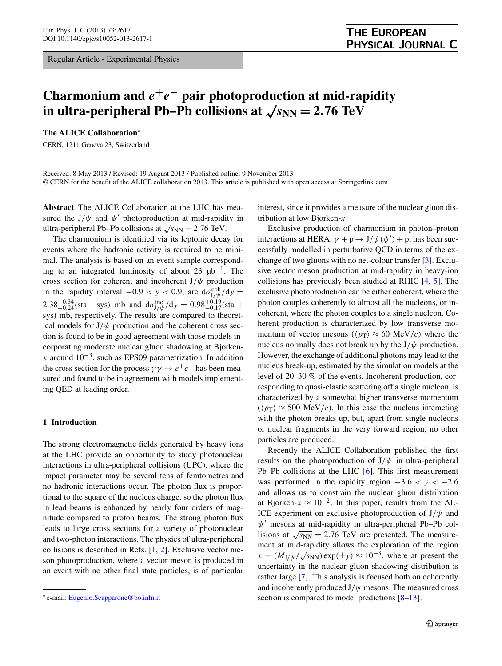Regular Article - Experimental Physics

# **Charmonium and**  $e^+e^-$  pair photoproduction at mid-rapidity **in ultra-peripheral Pb–Pb collisions at**  $\sqrt{s_{NN}} = 2.76 \text{ TeV}$

**The ALICE Collaboration***[-](#page-0-0)*

CERN, 1211 Geneva 23, Switzerland

Received: 8 May 2013 / Revised: 19 August 2013 / Published online: 9 November 2013 © CERN for the benefit of the ALICE collaboration 2013. This article is published with open access at Springerlink.com

**Abstract** The ALICE Collaboration at the LHC has measured the  $J/\psi$  and  $\psi'$  photoproduction at mid-rapidity in ultra-peripheral Pb–Pb collisions at  $\sqrt{s_{NN}}$  = 2.76 TeV.

The charmonium is identified via its leptonic decay for events where the hadronic activity is required to be minimal. The analysis is based on an event sample corresponding to an integrated luminosity of about 23  $\mu$ b<sup>-1</sup>. The cross section for coherent and incoherent J*/ψ* production in the rapidity interval  $-0.9 < y < 0.9$ , are  $d\sigma_{J/\psi}^{\text{coh}}/dy =$  $2.38^{+0.34}_{-0.24}$ (sta + sys) mb and  $d\sigma_{J/\psi}^{inc}/dy = 0.98^{+0.19}_{-0.17}$ (sta + sys*)* mb, respectively. The results are compared to theoretical models for  $J/\psi$  production and the coherent cross section is found to be in good agreement with those models incorporating moderate nuclear gluon shadowing at Bjorken*x* around  $10^{-3}$ , such as EPS09 parametrization. In addition the cross section for the process  $\gamma \gamma \rightarrow e^+e^-$  has been measured and found to be in agreement with models implementing QED at leading order.

## **1 Introduction**

The strong electromagnetic fields generated by heavy ions at the LHC provide an opportunity to study photonuclear interactions in ultra-peripheral collisions (UPC), where the impact parameter may be several tens of femtometres and no hadronic interactions occur. The photon flux is proportional to the square of the nucleus charge, so the photon flux in lead beams is enhanced by nearly four orders of magnitude compared to proton beams. The strong photon flux leads to large cross sections for a variety of photonuclear and two-photon interactions. The physics of ultra-peripheral collisions is described in Refs. [\[1](#page-11-0), [2](#page-11-1)]. Exclusive vector meson photoproduction, where a vector meson is produced in an event with no other final state particles, is of particular

interest, since it provides a measure of the nuclear gluon distribution at low Bjorken-*x*.

Exclusive production of charmonium in photon–proton interactions at HERA,  $\gamma + p \rightarrow J/\psi(\psi') + p$ , has been successfully modelled in perturbative QCD in terms of the exchange of two gluons with no net-colour transfer [\[3](#page-11-2)]. Exclusive vector meson production at mid-rapidity in heavy-ion collisions has previously been studied at RHIC [[4,](#page-11-3) [5](#page-11-4)]. The exclusive photoproduction can be either coherent, where the photon couples coherently to almost all the nucleons, or incoherent, where the photon couples to a single nucleon. Coherent production is characterized by low transverse momentum of vector mesons ( $\langle p_T \rangle \approx 60 \text{ MeV}/c$ ) where the nucleus normally does not break up by the  $J/\psi$  production. However, the exchange of additional photons may lead to the nucleus break-up, estimated by the simulation models at the level of 20–30 % of the events. Incoherent production, corresponding to quasi-elastic scattering off a single nucleon, is characterized by a somewhat higher transverse momentum  $(\langle p_T \rangle \approx 500 \text{ MeV}/c)$ . In this case the nucleus interacting with the photon breaks up, but, apart from single nucleons or nuclear fragments in the very forward region, no other particles are produced.

Recently the ALICE Collaboration published the first results on the photoproduction of J*/ψ* in ultra-peripheral Pb–Pb collisions at the LHC [\[6](#page-11-5)]. This first measurement was performed in the rapidity region  $-3.6 < y < -2.6$ and allows us to constrain the nuclear gluon distribution at Bjorken- $x \approx 10^{-2}$ . In this paper, results from the AL-ICE experiment on exclusive photoproduction of J*/ψ* and  $ψ'$  mesons at mid-rapidity in ultra-peripheral Pb–Pb collisions at  $\sqrt{s_{NN}} = 2.76$  TeV are presented. The measurement at mid-rapidity allows the exploration of the region  $x = (M_{J/\psi} / \sqrt{s_{NN}}) \exp(\pm y) \approx 10^{-3}$ , where at present the uncertainty in the nuclear gluon shadowing distribution is rather large [\[7](#page-11-6)]. This analysis is focused both on coherently and incoherently produced  $J/\psi$  mesons. The measured cross section is compared to model predictions  $[8-13]$  $[8-13]$ .

<span id="page-0-0"></span>*<sup>-</sup>* e-mail: [Eugenio.Scapparone@bo.infn.it](mailto:Eugenio.Scapparone@bo.infn.it)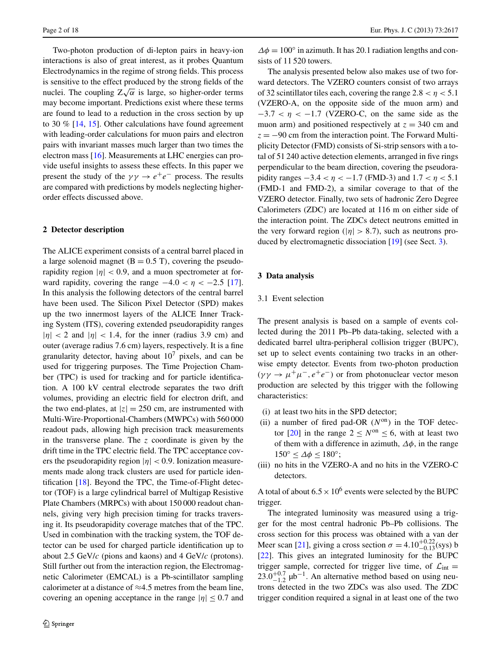Two-photon production of di-lepton pairs in heavy-ion interactions is also of great interest, as it probes Quantum Electrodynamics in the regime of strong fields. This process is sensitive to the effect produced by the strong fields of the nuclei. The coupling  $Z\sqrt{\alpha}$  is large, so higher-order terms may become important. Predictions exist where these terms are found to lead to a reduction in the cross section by up to 30 % [\[14](#page-11-9), [15\]](#page-11-10). Other calculations have found agreement with leading-order calculations for muon pairs and electron pairs with invariant masses much larger than two times the electron mass [[16\]](#page-11-11). Measurements at LHC energies can provide useful insights to assess these effects. In this paper we present the study of the  $\gamma\gamma \rightarrow e^+e^-$  process. The results are compared with predictions by models neglecting higherorder effects discussed above.

## **2 Detector description**

The ALICE experiment consists of a central barrel placed in a large solenoid magnet  $(B = 0.5 T)$ , covering the pseudorapidity region  $|\eta| < 0.9$ , and a muon spectrometer at forward rapidity, covering the range  $-4.0 < \eta < -2.5$  [\[17](#page-11-12)]. In this analysis the following detectors of the central barrel have been used. The Silicon Pixel Detector (SPD) makes up the two innermost layers of the ALICE Inner Tracking System (ITS), covering extended pseudorapidity ranges  $|\eta|$  < 2 and  $|\eta|$  < 1.4, for the inner (radius 3.9 cm) and outer (average radius 7.6 cm) layers, respectively. It is a fine granularity detector, having about  $10<sup>7</sup>$  pixels, and can be used for triggering purposes. The Time Projection Chamber (TPC) is used for tracking and for particle identification. A 100 kV central electrode separates the two drift volumes, providing an electric field for electron drift, and the two end-plates, at  $|z| = 250$  cm, are instrumented with Multi-Wire-Proportional-Chambers (MWPCs) with 560 000 readout pads, allowing high precision track measurements in the transverse plane. The *z* coordinate is given by the drift time in the TPC electric field. The TPC acceptance covers the pseudorapidity region  $|\eta|$  < 0.9. Ionization measurements made along track clusters are used for particle identification [[18\]](#page-11-13). Beyond the TPC, the Time-of-Flight detector (TOF) is a large cylindrical barrel of Multigap Resistive Plate Chambers (MRPCs) with about 150 000 readout channels, giving very high precision timing for tracks traversing it. Its pseudorapidity coverage matches that of the TPC. Used in combination with the tracking system, the TOF detector can be used for charged particle identification up to about 2.5 GeV/*c* (pions and kaons) and 4 GeV/*c* (protons). Still further out from the interaction region, the Electromagnetic Calorimeter (EMCAL) is a Pb-scintillator sampling calorimeter at a distance of  $\approx$ 4.5 metres from the beam line, covering an opening acceptance in the range  $|\eta| \leq 0.7$  and

 $\Delta \phi = 100^\circ$  in azimuth. It has 20.1 radiation lengths and consists of 11 520 towers.

The analysis presented below also makes use of two forward detectors. The VZERO counters consist of two arrays of 32 scintillator tiles each, covering the range  $2.8 < \eta < 5.1$ (VZERO-A, on the opposite side of the muon arm) and  $-3.7 < \eta < -1.7$  (VZERO-C, on the same side as the muon arm) and positioned respectively at  $z = 340$  cm and  $z = -90$  cm from the interaction point. The Forward Multiplicity Detector (FMD) consists of Si-strip sensors with a total of 51 240 active detection elements, arranged in five rings perpendicular to the beam direction, covering the pseudorapidity ranges  $-3.4 < \eta < -1.7$  (FMD-3) and  $1.7 < \eta < 5.1$ (FMD-1 and FMD-2), a similar coverage to that of the VZERO detector. Finally, two sets of hadronic Zero Degree Calorimeters (ZDC) are located at 116 m on either side of the interaction point. The ZDCs detect neutrons emitted in the very forward region ( $|\eta| > 8.7$ ), such as neutrons produced by electromagnetic dissociation [\[19](#page-11-14)] (see Sect. [3\)](#page-1-0).

#### <span id="page-1-1"></span><span id="page-1-0"></span>**3 Data analysis**

#### 3.1 Event selection

The present analysis is based on a sample of events collected during the 2011 Pb–Pb data-taking, selected with a dedicated barrel ultra-peripheral collision trigger (BUPC), set up to select events containing two tracks in an otherwise empty detector. Events from two-photon production  $(\gamma \gamma \rightarrow \mu^+ \mu^-, e^+ e^-)$  or from photonuclear vector meson production are selected by this trigger with the following characteristics:

- (i) at least two hits in the SPD detector;
- (ii) a number of fired pad-OR  $(N^{on})$  in the TOF detector  $[20]$  $[20]$  in the range  $2 < N^{on} < 6$ , with at least two of them with a difference in azimuth, *Δφ*, in the range  $150^\circ \leq \Delta \phi \leq 180^\circ;$
- (iii) no hits in the VZERO-A and no hits in the VZERO-C detectors.

A total of about  $6.5 \times 10^6$  events were selected by the BUPC trigger.

The integrated luminosity was measured using a trigger for the most central hadronic Pb–Pb collisions. The cross section for this process was obtained with a van der Meer scan [\[21](#page-11-16)], giving a cross section  $\sigma = 4.10^{+0.22}_{-0.13}$ (sys) b [\[22](#page-11-17)]. This gives an integrated luminosity for the BUPC trigger sample, corrected for trigger live time, of  $\mathcal{L}_{int}$  =  $23.0^{+0.7}_{-1.2}$   $\mu$ b<sup>-1</sup>. An alternative method based on using neutrons detected in the two ZDCs was also used. The ZDC trigger condition required a signal in at least one of the two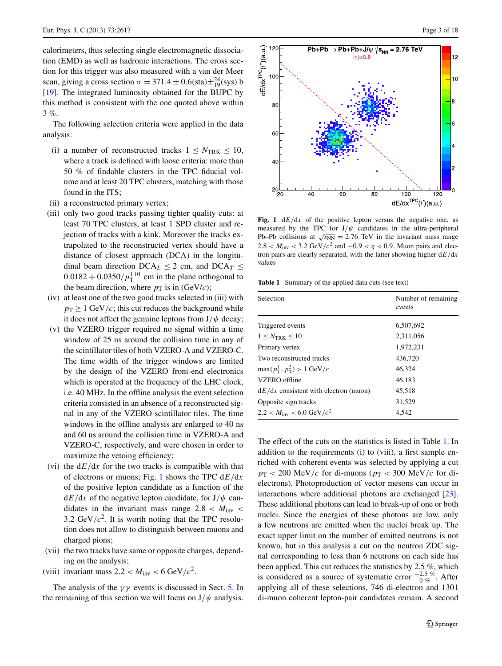calorimeters, thus selecting single electromagnetic dissociation (EMD) as well as hadronic interactions. The cross section for this trigger was also measured with a van der Meer scan, giving a cross section  $\sigma = 371.4 \pm 0.6$  (sta) $\pm_{19}^{24}$  (sys) b [\[19](#page-11-14)]. The integrated luminosity obtained for the BUPC by this method is consistent with the one quoted above within 3 %.

The following selection criteria were applied in the data analysis:

- (i) a number of reconstructed tracks  $1 \leq N_{\text{TRK}} \leq 10$ , where a track is defined with loose criteria: more than 50 % of findable clusters in the TPC fiducial volume and at least 20 TPC clusters, matching with those found in the ITS;
- (ii) a reconstructed primary vertex;
- (iii) only two good tracks passing tighter quality cuts: at least 70 TPC clusters, at least 1 SPD cluster and rejection of tracks with a kink. Moreover the tracks extrapolated to the reconstructed vertex should have a distance of closest approach (DCA) in the longitudinal beam direction  $DCA_L \leq 2$  cm, and  $DCA_T \leq$  $0.0182 + 0.0350/p_T^{1.01}$  cm in the plane orthogonal to the beam direction, where  $p<sub>T</sub>$  is in (GeV/*c*);
- (iv) at least one of the two good tracks selected in (iii) with  $p_T > 1$  GeV/c; this cut reduces the background while it does not affect the genuine leptons from J*/ψ* decay;
- (v) the VZERO trigger required no signal within a time window of 25 ns around the collision time in any of the scintillator tiles of both VZERO-A and VZERO-C. The time width of the trigger windows are limited by the design of the VZERO front-end electronics which is operated at the frequency of the LHC clock, i.e. 40 MHz. In the offline analysis the event selection criteria consisted in an absence of a reconstructed signal in any of the VZERO scintillator tiles. The time windows in the offline analysis are enlarged to 40 ns and 60 ns around the collision time in VZERO-A and VZERO-C, respectively, and were chosen in order to maximize the vetoing efficiency;
- (vi) the  $dE/dx$  for the two tracks is compatible with that of electrons or muons; Fig. [1](#page-2-0) shows the TPC d*E/*d*x* of the positive lepton candidate as a function of the  $dE/dx$  of the negative lepton candidate, for  $J/\psi$  candidates in the invariant mass range  $2.8 < M_{\text{inv}} <$ 3.2  $GeV/c^2$ . It is worth noting that the TPC resolution does not allow to distinguish between muons and charged pions;
- (vii) the two tracks have same or opposite charges, depending on the analysis;
- (viii) invariant mass  $2.2 < M_{\text{inv}} < 6 \text{ GeV}/c^2$ .

The analysis of the *γγ* events is discussed in Sect. [5](#page-8-0). In the remaining of this section we will focus on  $J/\psi$  analysis.



<span id="page-2-1"></span><span id="page-2-0"></span>**Fig. 1**  $dE/dx$  of the positive lepton versus the negative one, as measured by the TPC for  $J/\psi$  candidates in the ultra-peripheral Pb–Pb collisions at  $\sqrt{s_{NN}} = 2.76$  TeV in the invariant mass range  $2.8 < M_{\text{inv}} < 3.2 \text{ GeV}/c^2$  and  $-0.9 < \eta < 0.9$ . Muon pairs and electron pairs are clearly separated, with the latter showing higher d*E/*d*x* values

**Table 1** Summary of the applied data cuts (see text)

| Selection                                          | Number of remaining<br>events |  |  |
|----------------------------------------------------|-------------------------------|--|--|
| Triggered events                                   | 6.507.692                     |  |  |
| $1 < N_{\text{TRK}} < 10$                          | 2.311.056                     |  |  |
| Primary vertex                                     | 1.972.231                     |  |  |
| Two reconstructed tracks                           | 436,720                       |  |  |
| $\max(p_{\rm T}^1, p_{\rm T}^2) > 1 \text{ GeV}/c$ | 46,324                        |  |  |
| VZERO offline                                      | 46.183                        |  |  |
| $dE/dx$ consistent with electron (muon)            | 45,518                        |  |  |
| Opposite sign tracks                               | 31.529                        |  |  |
| $2.2 < M_{\text{inv}} < 6.0 \text{ GeV}/c^2$       | 4.542                         |  |  |

The effect of the cuts on the statistics is listed in Table [1.](#page-2-1) In addition to the requirements (i) to (viii), a first sample enriched with coherent events was selected by applying a cut  $p_T < 200$  MeV/c for di-muons ( $p_T < 300$  MeV/c for dielectrons). Photoproduction of vector mesons can occur in interactions where additional photons are exchanged [\[23](#page-11-18)]. These additional photons can lead to break-up of one or both nuclei. Since the energies of these photons are low, only a few neutrons are emitted when the nuclei break up. The exact upper limit on the number of emitted neutrons is not known, but in this analysis a cut on the neutron ZDC signal corresponding to less than 6 neutrons on each side has been applied. This cut reduces the statistics by 2.5 %, which is considered as a source of systematic error  $^{+2.5}_{-0.96}$ . After applying all of these selections, 746 di-electron and 1301 di-muon coherent lepton-pair candidates remain. A second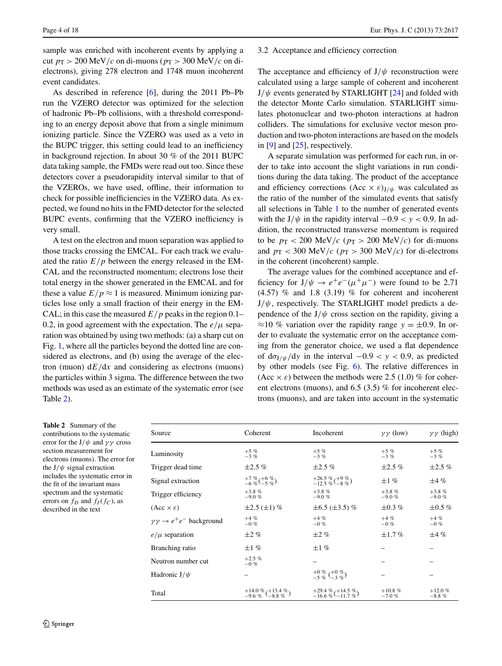sample was enriched with incoherent events by applying a cut  $p_T > 200 \text{ MeV}/c$  on di-muons ( $p_T > 300 \text{ MeV}/c$  on dielectrons), giving 278 electron and 1748 muon incoherent event candidates.

As described in reference [\[6](#page-11-5)], during the 2011 Pb–Pb run the VZERO detector was optimized for the selection of hadronic Pb–Pb collisions, with a threshold corresponding to an energy deposit above that from a single minimum ionizing particle. Since the VZERO was used as a veto in the BUPC trigger, this setting could lead to an inefficiency in background rejection. In about 30 % of the 2011 BUPC data taking sample, the FMDs were read out too. Since these detectors cover a pseudorapidity interval similar to that of the VZEROs, we have used, offline, their information to check for possible inefficiencies in the VZERO data. As expected, we found no hits in the FMD detector for the selected BUPC events, confirming that the VZERO inefficiency is very small.

A test on the electron and muon separation was applied to those tracks crossing the EMCAL. For each track we evaluated the ratio *E/p* between the energy released in the EM-CAL and the reconstructed momentum; electrons lose their total energy in the shower generated in the EMCAL and for these a value  $E/p \approx 1$  is measured. Minimum ionizing particles lose only a small fraction of their energy in the EM-CAL; in this case the measured  $E/p$  peaks in the region 0.1– 0.2, in good agreement with the expectation. The  $e/\mu$  separation was obtained by using two methods: (a) a sharp cut on Fig. [1,](#page-2-0) where all the particles beyond the dotted line are considered as electrons, and (b) using the average of the electron (muon) d*E/*d*x* and considering as electrons (muons) the particles within 3 sigma. The difference between the two methods was used as an estimate of the systematic error (see Table [2](#page-3-0)).

#### 3.2 Acceptance and efficiency correction

The acceptance and efficiency of J*/ψ* reconstruction were calculated using a large sample of coherent and incoherent J*/ψ* events generated by STARLIGHT [[24\]](#page-11-19) and folded with the detector Monte Carlo simulation. STARLIGHT simulates photonuclear and two-photon interactions at hadron colliders. The simulations for exclusive vector meson production and two-photon interactions are based on the models in [\[9](#page-11-20)] and [\[25](#page-11-21)], respectively.

A separate simulation was performed for each run, in order to take into account the slight variations in run conditions during the data taking. The product of the acceptance and efficiency corrections  $(Acc \times \varepsilon)_{J/\psi}$  was calculated as the ratio of the number of the simulated events that satisfy all selections in Table [1](#page-2-1) to the number of generated events with the J/ $\psi$  in the rapidity interval  $-0.9 < y < 0.9$ . In addition, the reconstructed transverse momentum is required to be  $p_T < 200 \text{ MeV}/c$  ( $p_T > 200 \text{ MeV}/c$ ) for di-muons and  $p_T < 300 \text{ MeV}/c$  ( $p_T > 300 \text{ MeV}/c$ ) for di-electrons in the coherent (incoherent) sample.

The average values for the combined acceptance and efficiency for  $J/\psi \rightarrow e^+e^-(\mu^+\mu^-)$  were found to be 2.71 (4.57) % and 1.8 (3.19) % for coherent and incoherent  $J/\psi$ , respectively. The STARLIGHT model predicts a dependence of the  $J/\psi$  cross section on the rapidity, giving a  $\approx$ 10 % variation over the rapidity range  $y = \pm 0.9$ . In order to evaluate the systematic error on the acceptance coming from the generator choice, we used a flat dependence of  $d\sigma_{J/\psi}/dy$  in the interval  $-0.9 < y < 0.9$ , as predicted by other models (see Fig. [6\)](#page-10-0). The relative differences in  $(\text{Acc} \times \varepsilon)$  between the methods were 2.5 (1.0) % for coherent electrons (muons), and 6.5 (3.5) % for incoherent electrons (muons), and are taken into account in the systematic

<span id="page-3-0"></span>**Table 2** Summary of the contributions to the systematic error for the J*/ψ* and *γγ* cross section measurement for electrons (muons). The error for the J*/ψ* signal extraction includes the systematic error in the fit of the invariant mass spectrum and the systematic errors on  $f_D$  and  $f_I(f_C)$ , as described in the text

| Source                                        | Coherent                                  | Incoherent                             | $\gamma\gamma$ (low)   | $\gamma\gamma$ (high) |
|-----------------------------------------------|-------------------------------------------|----------------------------------------|------------------------|-----------------------|
| Luminosity                                    | $+5$ %<br>$-3$ %                          | $+5\%$<br>$-3\%$                       | $+5\%$<br>$-3\%$       | $+5\%$<br>$-3\%$      |
| Trigger dead time                             | $\pm 2.5 \%$                              | $\pm 2.5 \%$                           | $\pm 2.5\%$            | $\pm 2.5 \%$          |
| Signal extraction                             | $^{+7}_{-6}$ % $^{+6}_{-5}$ %)            | $^{+26.5}_{-12.5}$ % $(^{+9}_{-8}$ %)  | $\pm 1\%$              | $\pm 4\%$             |
| Trigger efficiency                            | $+3.8%$<br>$-9.0 \%$                      | $+3.8%$<br>$-9.0 \%$                   | $+3.8%$<br>$-9.0%$     | $+3.8%$<br>$-9.0 \%$  |
| $(\text{Acc} \times \varepsilon)$             | $\pm 2.5$ ( $\pm 1$ ) %                   | $\pm 6.5$ ( $\pm 3.5$ ) %              | $\pm 0.3 \%$           | $\pm 0.5\%$           |
| $\gamma \gamma \rightarrow e^+e^-$ background | $+4%$<br>$-0\%$                           | $+4%$<br>$-0\%$                        | $+4%$<br>$-0\%$        | $+4\%$<br>$-0$ %      |
| $e/\mu$ separation                            | $\pm 2\%$                                 | $\pm 2\%$                              | $\pm 1.7 \%$           | $\pm 4\%$             |
| Branching ratio                               | $\pm 1\%$                                 | $\pm 1\%$                              |                        |                       |
| Neutron number cut                            | $+2.5 \%$<br>$-0\%$                       |                                        |                        |                       |
| Hadronic $J/\psi$                             |                                           | $^{+0}_{-5}$ % $(^{+0}_{-3}$ %)        |                        |                       |
| Total                                         | $^{+14.0}_{-9.6}$ % $(^{+13.4}_{-8.8}$ %) | +29.4 % (+14.5 %)<br>-16.6 % (-11.7 %) | $+10.8\%$<br>$-7.0 \%$ | $+12.0%$<br>$-8.8 \%$ |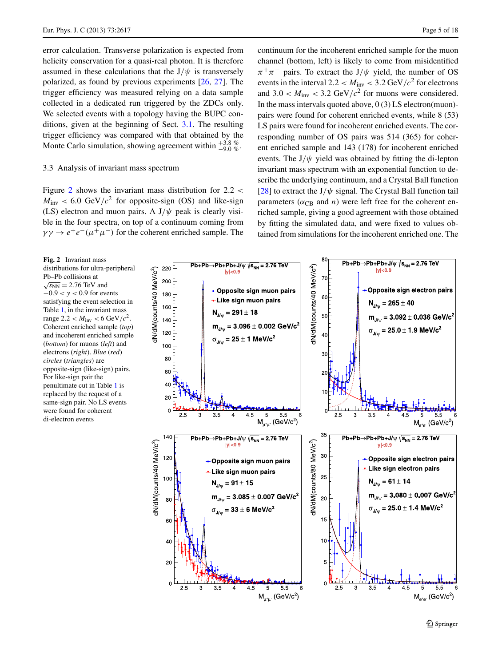error calculation. Transverse polarization is expected from helicity conservation for a quasi-real photon. It is therefore assumed in these calculations that the  $J/\psi$  is transversely polarized, as found by previous experiments [\[26](#page-12-0), [27](#page-12-1)]. The trigger efficiency was measured relying on a data sample collected in a dedicated run triggered by the ZDCs only. We selected events with a topology having the BUPC conditions, given at the beginning of Sect. [3.1](#page-1-1). The resulting trigger efficiency was compared with that obtained by the Monte Carlo simulation, showing agreement within  $^{+3.8}_{-9.0}$  %.

# 3.3 Analysis of invariant mass spectrum

Figure [2](#page-4-0) shows the invariant mass distribution for 2*.*2 *<*  $M_{\text{inv}} < 6.0 \text{ GeV}/c^2$  for opposite-sign (OS) and like-sign (LS) electron and muon pairs. A  $J/\psi$  peak is clearly visible in the four spectra, on top of a continuum coming from  $\gamma \gamma \rightarrow e^+e^-(\mu^+\mu^-)$  for the coherent enriched sample. The

continuum for the incoherent enriched sample for the muon channel (bottom, left) is likely to come from misidentified  $\pi^{+}\pi^{-}$  pairs. To extract the J/ $\psi$  yield, the number of OS events in the interval 2.2  $\lt M_{\text{inv}} \lt 3.2 \text{ GeV}/c^2$  for electrons and  $3.0 < M_{\text{inv}} < 3.2 \text{ GeV}/c^2$  for muons were considered. In the mass intervals quoted above,  $0(3)$  LS electron(muon)pairs were found for coherent enriched events, while 8 (53) LS pairs were found for incoherent enriched events. The corresponding number of OS pairs was 514 (365) for coherent enriched sample and 143 (178) for incoherent enriched events. The  $J/\psi$  yield was obtained by fitting the di-lepton invariant mass spectrum with an exponential function to describe the underlying continuum, and a Crystal Ball function [\[28](#page-12-2)] to extract the  $J/\psi$  signal. The Crystal Ball function tail parameters ( $\alpha_{\text{CB}}$  and *n*) were left free for the coherent enriched sample, giving a good agreement with those obtained by fitting the simulated data, and were fixed to values obtained from simulations for the incoherent enriched one. The

<span id="page-4-0"></span>**Fig. 2** Invariant mass distributions for ultra-peripheral Pb–Pb collisions at  $\sqrt{s_{NN}}$  = 2.76 TeV and  $-0.9 < y < 0.9$  for events satisfying the event selection in Table [1](#page-2-1), in the invariant mass range 2.2  $< M_{\text{inv}} < 6 \text{ GeV}/c^2$ . Coherent enriched sample (*top*) and incoherent enriched sample (*bottom*) for muons (*left*) and electrons (*right*). *Blue* (*red*) *circles* (*triangles*) are opposite-sign (like-sign) pairs. For like-sign pair the penultimate cut in Table [1](#page-2-1) is replaced by the request of a same-sign pair. No LS events were found for coherent di-electron events



Springer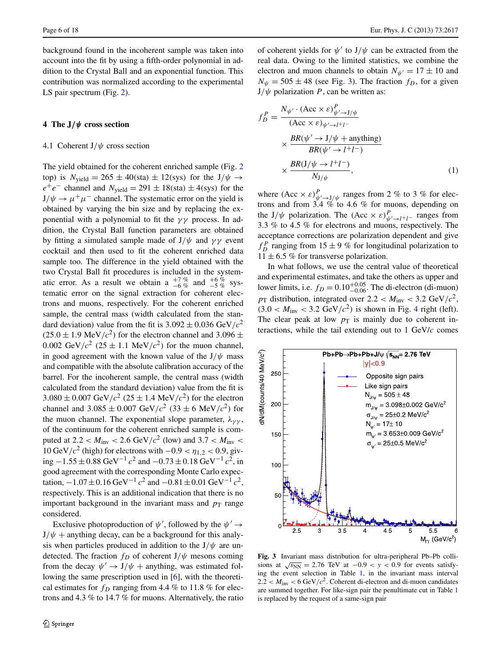background found in the incoherent sample was taken into account into the fit by using a fifth-order polynomial in addition to the Crystal Ball and an exponential function. This contribution was normalized according to the experimental LS pair spectrum (Fig. [2\)](#page-4-0).

## **4 The J***/ψ* **cross section**

## 4.1 Coherent J*/ψ* cross section

The yield obtained for the coherent enriched sample (Fig. [2](#page-4-0) top) is  $N_{yield} = 265 \pm 40$ (sta)  $\pm 12$ (sys) for the  $J/\psi \rightarrow$  $e^+e^-$  channel and  $N_{\text{yield}} = 291 \pm 18$ (sta)  $\pm 4$ (sys) for the  $J/\psi \rightarrow \mu^+\mu^-$  channel. The systematic error on the yield is obtained by varying the bin size and by replacing the exponential with a polynomial to fit the *γγ* process. In addition, the Crystal Ball function parameters are obtained by fitting a simulated sample made of J*/ψ* and *γγ* event cocktail and then used to fit the coherent enriched data sample too. The difference in the yield obtained with the two Crystal Ball fit procedures is included in the systematic error. As a result we obtain a  $_{-6}^{+7}$  % and  $_{-5}^{+6}$  % systematic error on the signal extraction for coherent electrons and muons, respectively. For the coherent enriched sample, the central mass (width calculated from the standard deviation) value from the fit is  $3.092 \pm 0.036$  GeV/ $c^2$  $(25.0 \pm 1.9 \text{ MeV}/c^2)$  for the electron channel and 3.096  $\pm$ 0.002 GeV/ $c^2$  (25  $\pm$  1.1 MeV/ $c^2$ ) for the muon channel, in good agreement with the known value of the  $J/\psi$  mass and compatible with the absolute calibration accuracy of the barrel. For the incoherent sample, the central mass (width calculated from the standard deviation) value from the fit is  $3.080 \pm 0.007$  GeV/ $c^2$  (25  $\pm$  1.4 MeV/ $c^2$ ) for the electron channel and  $3.085 \pm 0.007$  GeV/ $c^2$  (33  $\pm$  6 MeV/ $c^2$ ) for the muon channel. The exponential slope parameter,  $\lambda_{\gamma\gamma}$ , of the continuum for the coherent enriched sample is computed at 2.2 *< M*<sub>inv</sub> < 2.6 GeV/ $c^2$  (low) and 3.7 < *M*<sub>inv</sub> < 10 GeV/ $c^2$  (high) for electrons with −0.9 <  $η_{1,2}$  < 0.9, giving  $-1.55 \pm 0.88$  GeV<sup>-1</sup>  $c^2$  and  $-0.73 \pm 0.18$  GeV<sup>-1</sup>  $c^2$ , in good agreement with the corresponding Monte Carlo expectation,  $-1.07 \pm 0.16$  GeV<sup>-1</sup>  $c^2$  and  $-0.81 \pm 0.01$  GeV<sup>-1</sup>  $c^2$ , respectively. This is an additional indication that there is no important background in the invariant mass and  $p<sub>T</sub>$  range considered.

Exclusive photoproduction of  $\psi'$ , followed by the  $\psi' \rightarrow$  $J/\psi$  + anything decay, can be a background for this analysis when particles produced in addition to the  $J/\psi$  are undetected. The fraction  $f_D$  of coherent  $J/\psi$  mesons coming from the decay  $\psi' \rightarrow J/\psi +$  anything, was estimated following the same prescription used in [[6\]](#page-11-5), with the theoretical estimates for  $f_D$  ranging from 4.4 % to 11.8 % for electrons and 4.3 % to 14.7 % for muons. Alternatively, the ratio

<span id="page-5-1"></span>of coherent yields for  $\psi'$  to  $J/\psi$  can be extracted from the real data. Owing to the limited statistics, we combine the electron and muon channels to obtain  $N_{\psi'} = 17 \pm 10$  and  $N_{\psi} = 505 \pm 48$  (see Fig. [3\)](#page-5-0). The fraction  $f_D$ , for a given  $J/\psi$  polarization *P*, can be written as:

$$
f_D^P = \frac{N_{\psi'} \cdot (\text{Acc} \times \varepsilon)_{\psi' \to J/\psi}^P}{(\text{Acc} \times \varepsilon)_{\psi' \to l^+ l^-}}
$$

$$
\times \frac{BR(\psi' \to J/\psi + \text{anything})}{BR(\psi' \to l^+ l^-)}
$$

$$
\times \frac{BR(J/\psi \to l^+ l^-)}{N_{J/\psi}}, \tag{1}
$$

where  $(Acc \times \varepsilon)_{\psi' \to J/\psi}^P$  ranges from 2 % to 3 % for electrons and from  $3.4\%$  to  $4.6\%$  for muons, depending on the J/ $\psi$  polarization. The  $(Acc \times \varepsilon)_{\psi'\to l^+l^-}^P$  ranges from 3.3 % to 4.5 % for electrons and muons, respectively. The acceptance corrections are polarization dependent and give  $f_D^P$  ranging from 15  $\pm$  9 % for longitudinal polarization to  $11 \pm 6.5$  % for transverse polarization.

In what follows, we use the central value of theoretical and experimental estimates, and take the others as upper and lower limits, i.e.  $f_D = 0.10^{+0.05}_{-0.06}$ . The di-electron (di-muon)  $p_{\text{T}}$  distribution, integrated over 2.2 *< M*<sub>inv</sub> < 3.2 GeV/ $c^2$ ,  $(3.0 < M_{\text{inv}} < 3.2 \text{ GeV}/c^2)$  is shown in Fig. [4](#page-6-0) right (left). The clear peak at low  $p<sub>T</sub>$  is mainly due to coherent interactions, while the tail extending out to 1 GeV/*c* comes



<span id="page-5-0"></span>**Fig. 3** Invariant mass distribution for ultra-peripheral Pb–Pb collisions at  $\sqrt{s_{NN}}$  = 2.76 TeV at  $-0.9 < y < 0.9$  for events satisfying the event selection in Table [1,](#page-2-1) in the invariant mass interval  $2.2 < M_{\text{inv}} < 6 \text{ GeV}/c^2$ . Coherent di-electron and di-muon candidates are summed together. For like-sign pair the penultimate cut in Table [1](#page-2-1) is replaced by the request of a same-sign pair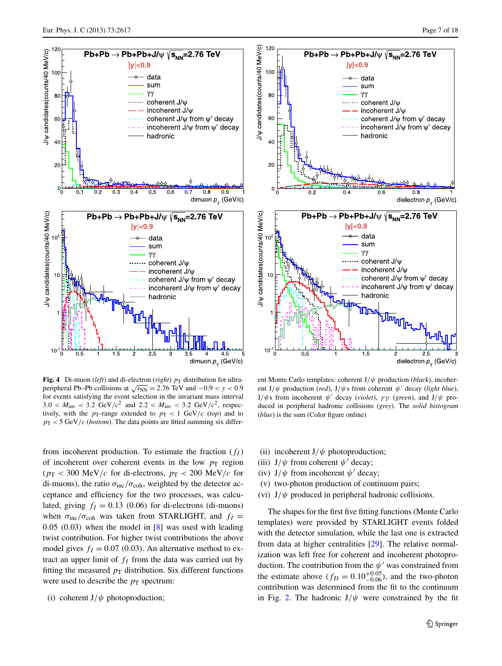

<span id="page-6-0"></span>**Fig. 4** Di-muon (*left*) and di-electron (*right*)  $p_T$  distribution for ultraperipheral Pb–Pb collisions at  $\sqrt{s_{NN}}$  = 2.76 TeV and  $-0.9 < y < 0.9$ for events satisfying the event selection in the invariant mass interval  $3.0 < M_{\text{inv}} < 3.2 \text{ GeV}/c^2 \text{ and } 2.2 < M_{\text{inv}} < 3.2 \text{ GeV}/c^2 \text{, respectively.}$ tively, with the  $p_T$ -range extended to  $p_T < 1$  GeV/ $c$  (*top*) and to  $p_T < 5 \text{ GeV}/c$  (*bottom*). The data points are fitted summing six differ-

from incoherent production. To estimate the fraction  $(f_I)$ of incoherent over coherent events in the low  $p_T$  region ( $p_T < 300 \text{ MeV}/c$  for di-electrons,  $p_T < 200 \text{ MeV}/c$  for di-muons), the ratio  $\sigma_{\text{inc}}/\sigma_{\text{coh}}$ , weighted by the detector acceptance and efficiency for the two processes, was calculated, giving  $f_I = 0.13$  (0.06) for di-electrons (di-muons) when  $\sigma_{\text{inc}}/\sigma_{\text{coh}}$  was taken from STARLIGHT, and  $f_I =$ 0*.*05 *(*0*.*03*)* when the model in [\[8](#page-11-7)] was used with leading twist contribution. For higher twist contributions the above model gives  $f_I = 0.07$  (0.03). An alternative method to extract an upper limit of  $f_I$  from the data was carried out by fitting the measured  $p<sub>T</sub>$  distribution. Six different functions were used to describe the  $p<sub>T</sub>$  spectrum:

(i) coherent  $J/\psi$  photoproduction;



ent Monte Carlo templates: coherent J*/ψ* production (*black*), incoherent  $J/\psi$  production (*red*),  $J/\psi$ s from coherent  $\psi'$  decay (*light blue*), J*/ψ*s from incoherent *ψ*- decay (*violet*), *γγ* (*green*), and J*/ψ* produced in peripheral hadronic collisions (*grey*). The *solid histogram* (*blue*) is the sum (Color figure online)

- (ii) incoherent  $J/\psi$  photoproduction;
- (iii)  $J/\psi$  from coherent  $\psi'$  decay;
- (iv)  $J/\psi$  from incoherent  $\psi'$  decay;
- (v) two-photon production of continuum pairs;
- (vi)  $J/\psi$  produced in peripheral hadronic collisions.

The shapes for the first five fitting functions (Monte Carlo templates) were provided by STARLIGHT events folded with the detector simulation, while the last one is extracted from data at higher centralities [\[29](#page-12-3)]. The relative normalization was left free for coherent and incoherent photoproduction. The contribution from the  $\psi'$  was constrained from the estimate above  $(f_D = 0.10^{+0.05}_{-0.06})$ , and the two-photon contribution was determined from the fit to the continuum in Fig. [2](#page-4-0). The hadronic  $J/\psi$  were constrained by the fit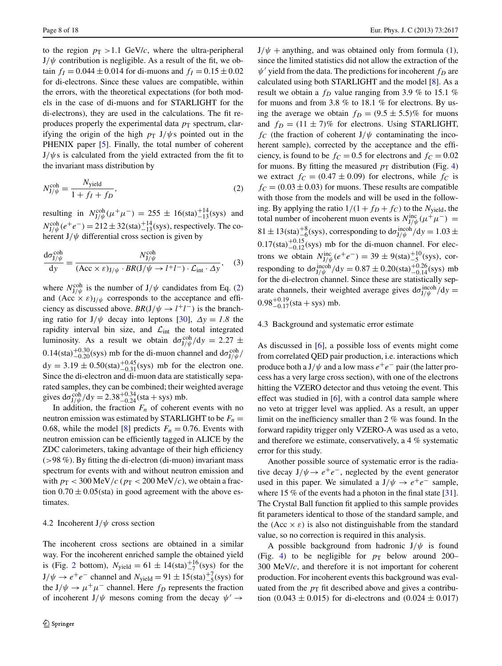to the region  $p_T > 1.1$  GeV/*c*, where the ultra-peripheral  $J/\psi$  contribution is negligible. As a result of the fit, we obtain  $f_I = 0.044 \pm 0.014$  for di-muons and  $f_I = 0.15 \pm 0.02$ for di-electrons. Since these values are compatible, within the errors, with the theoretical expectations (for both models in the case of di-muons and for STARLIGHT for the di-electrons), they are used in the calculations. The fit reproduces properly the experimental data  $p<sub>T</sub>$  spectrum, clarifying the origin of the high  $p_T J/\psi s$  pointed out in the PHENIX paper [[5\]](#page-11-4). Finally, the total number of coherent J*/ψ*s is calculated from the yield extracted from the fit to the invariant mass distribution by

<span id="page-7-1"></span>
$$
N_{J/\psi}^{\text{coh}} = \frac{N_{\text{yield}}}{1 + f_I + f_D},\tag{2}
$$

resulting in  $N_{J/\psi}^{\text{coh}}(\mu^+\mu^-) = 255 \pm 16 \text{(sta)}_{-13}^{+14} \text{(sys)}$  and  $N_{J/\psi}^{\text{coh}}(e^+e^-) = 212 \pm 32(\text{sta})_{-13}^{+14}(\text{sys})$ , respectively. The coherent  $J/\psi$  differential cross section is given by

$$
\frac{d\sigma_{J/\psi}^{\text{coh}}}{dy} = \frac{N_{J/\psi}^{\text{coh}}}{(\text{Acc} \times \varepsilon)_{J/\psi} \cdot BR(J/\psi \to l^{+}l^{-}) \cdot \mathcal{L}_{\text{int}} \cdot \Delta y},\quad(3)
$$

where  $N_{J/\psi}^{\text{coh}}$  is the number of  $J/\psi$  candidates from Eq. ([2\)](#page-7-0) and  $(Acc \times \varepsilon)_{J/\psi}$  corresponds to the acceptance and efficiency as discussed above. *BR*(*J*/ $\psi \rightarrow l^{+}l^{-}$ ) is the branching ratio for  $J/\psi$  decay into leptons [[30\]](#page-12-4),  $\Delta y = 1.8$  the rapidity interval bin size, and  $\mathcal{L}_{int}$  the total integrated luminosity. As a result we obtain  $d\sigma_{J/\psi}^{\text{coh}}/dy = 2.27 \pm$  $0.14$ (sta)<sup> $+0.30$ </sup> $_{-0.20}$ (sys) mb for the di-muon channel and d $\sigma_{J/\psi}^{\text{coh}}/$  $dy = 3.19 \pm 0.50$ (sta) $^{+0.45}_{-0.31}$ (sys) mb for the electron one. Since the di-electron and di-muon data are statistically separated samples, they can be combined; their weighted average gives  $d\sigma_{J/\psi}^{\text{coh}}/dy = 2.38^{+0.34}_{-0.24}(\text{sta} + \text{sys})$  mb.

In addition, the fraction  $F_n$  of coherent events with no neutron emission was estimated by STARLIGHT to be  $F_n =$ 0.68, while the model [[8\]](#page-11-7) predicts  $F_n = 0.76$ . Events with neutron emission can be efficiently tagged in ALICE by the ZDC calorimeters, taking advantage of their high efficiency (*>*98 %). By fitting the di-electron (di-muon) invariant mass spectrum for events with and without neutron emission and with  $p_T < 300 \text{ MeV}/c$  ( $p_T < 200 \text{ MeV}/c$ ), we obtain a fraction  $0.70 \pm 0.05$  (sta) in good agreement with the above estimates.

#### 4.2 Incoherent J*/ψ* cross section

The incoherent cross sections are obtained in a similar way. For the incoherent enriched sample the obtained yield is (Fig. [2](#page-4-0) bottom),  $N_{yield} = 61 \pm 14(stat)_{-7}^{+16}$  (sys) for the  $J/\psi \to e^+e^-$  channel and  $N_{\text{yield}} = 91 \pm 15 \text{(sta)}^{+7}_{-5} \text{(sys)}$  for the  $J/\psi \rightarrow \mu^+\mu^-$  channel. Here  $f_D$  represents the fraction of incoherent  $J/\psi$  mesons coming from the decay  $\psi' \rightarrow$ 

<span id="page-7-0"></span> $J/\psi$  + anything, and was obtained only from formula [\(1](#page-5-1)), since the limited statistics did not allow the extraction of the  $\psi'$  yield from the data. The predictions for incoherent  $f_D$  are calculated using both STARLIGHT and the model [[8\]](#page-11-7). As a result we obtain a  $f<sub>D</sub>$  value ranging from 3.9 % to 15.1 % for muons and from 3.8 % to 18.1 % for electrons. By using the average we obtain  $f_D = (9.5 \pm 5.5)\%$  for muons and  $f_D = (11 \pm 7)\%$  for electrons. Using STARLIGHT, *f<sub>C</sub>* (the fraction of coherent  $J/\psi$  contaminating the incoherent sample), corrected by the acceptance and the efficiency, is found to be  $f_C = 0.5$  for electrons and  $f_C = 0.02$ for muons. By fitting the measured  $p<sub>T</sub>$  distribution (Fig. [4\)](#page-6-0) we extract  $f_C = (0.47 \pm 0.09)$  for electrons, while  $f_C$  is  $f_C = (0.03 \pm 0.03)$  for muons. These results are compatible with those from the models and will be used in the following. By applying the ratio  $1/(1+f_D+f_C)$  to the *N*<sub>yield</sub>, the total number of incoherent muon events is  $N_{J/\psi}^{\text{inc}}(\mu^{+}\mu^{-})$  $81 \pm 13$ (sta) $^{+8}_{-6}$ (sys), corresponding to  $d\sigma_{J/\psi}^{incoh}/dy = 1.03 \pm 1.03$  $0.17$ (sta) $^{+0.15}_{-0.12}$ (sys) mb for the di-muon channel. For electrons we obtain  $N_{J/\psi}^{\text{inc}}(e^+e^-) = 39 \pm 9(\text{sta})_{-5}^{+10}(\text{sys})$ , corresponding to  $d\sigma_{J/\psi}^{\text{incoh}}/dy = 0.87 \pm 0.20(\text{sta})_{-0.14}^{+0.26}(\text{sys})$  mb for the di-electron channel. Since these are statistically separate channels, their weighted average gives  $d\sigma_{J/\psi}^{incoh}/dy =$  $0.98^{+0.19}_{-0.17}$ (sta + sys) mb.

## 4.3 Background and systematic error estimate

As discussed in [\[6](#page-11-5)], a possible loss of events might come from correlated QED pair production, i.e. interactions which produce both a J/ $\psi$  and a low mass  $e^+e^-$  pair (the latter process has a very large cross section), with one of the electrons hitting the VZERO detector and thus vetoing the event. This effect was studied in  $[6]$  $[6]$ , with a control data sample where no veto at trigger level was applied. As a result, an upper limit on the inefficiency smaller than 2 % was found. In the forward rapidity trigger only VZERO-A was used as a veto, and therefore we estimate, conservatively, a 4 % systematic error for this study.

Another possible source of systematic error is the radiative decay  $J/\psi \rightarrow e^+e^-$ , neglected by the event generator used in this paper. We simulated a  $J/\psi \rightarrow e^+e^-$  sample, where 15 % of the events had a photon in the final state [\[31](#page-12-5)]. The Crystal Ball function fit applied to this sample provides fit parameters identical to those of the standard sample, and the  $(Acc \times \varepsilon)$  is also not distinguishable from the standard value, so no correction is required in this analysis.

A possible background from hadronic  $J/\psi$  is found (Fig. [4\)](#page-6-0) to be negligible for  $p_T$  below around 200– 300 MeV/*c*, and therefore it is not important for coherent production. For incoherent events this background was evaluated from the  $p<sub>T</sub>$  fit described above and gives a contribution (0.043  $\pm$  0.015) for di-electrons and (0.024  $\pm$  0.017)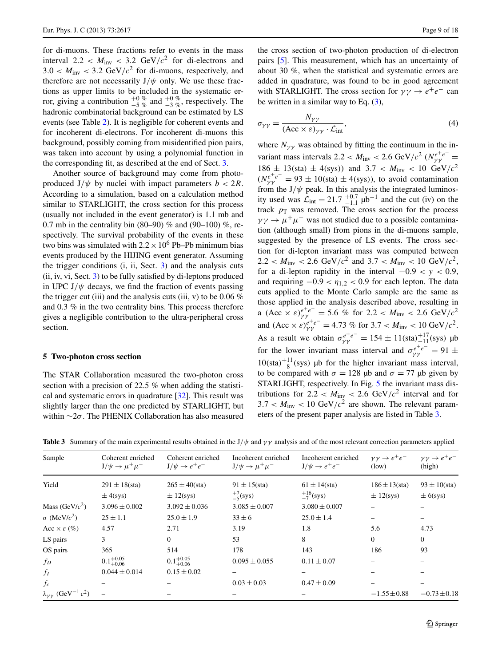for di-muons. These fractions refer to events in the mass interval 2.2  $\lt M_{\text{inv}} \lt 3.2 \text{ GeV}/c^2$  for di-electrons and  $3.0 < M_{\text{inv}} < 3.2 \text{ GeV}/c^2$  for di-muons, respectively, and therefore are not necessarily  $J/\psi$  only. We use these fractions as upper limits to be included in the systematic error, giving a contribution  $^{+0}_{-5}$  % and  $^{+0}_{-3}$  %, respectively. The hadronic combinatorial background can be estimated by LS events (see Table [2\)](#page-3-0). It is negligible for coherent events and for incoherent di-electrons. For incoherent di-muons this background, possibly coming from misidentified pion pairs, was taken into account by using a polynomial function in the corresponding fit, as described at the end of Sect. [3.](#page-1-0)

Another source of background may come from photoproduced  $J/\psi$  by nuclei with impact parameters  $b < 2R$ . According to a simulation, based on a calculation method similar to STARLIGHT, the cross section for this process (usually not included in the event generator) is 1.1 mb and 0.7 mb in the centrality bin  $(80-90)$  % and  $(90-100)$  %, respectively. The survival probability of the events in these two bins was simulated with  $2.2 \times 10^6$  Pb–Pb minimum bias events produced by the HIJING event generator. Assuming the trigger conditions  $(i, ii, Sect. 3)$  $(i, ii, Sect. 3)$  $(i, ii, Sect. 3)$  and the analysis cuts (ii, iv, vi, Sect. [3](#page-1-0)) to be fully satisfied by di-leptons produced in UPC  $J/\psi$  decays, we find the fraction of events passing the trigger cut (iii) and the analysis cuts (iii, v) to be 0.06  $%$ and 0.3 % in the two centrality bins. This process therefore gives a negligible contribution to the ultra-peripheral cross section.

#### <span id="page-8-0"></span>**5 Two-photon cross section**

<span id="page-8-1"></span>The STAR Collaboration measured the two-photon cross section with a precision of 22.5 % when adding the statistical and systematic errors in quadrature [[32\]](#page-12-6). This result was slightly larger than the one predicted by STARLIGHT, but within ∼2*σ* . The PHENIX Collaboration has also measured the cross section of two-photon production of di-electron pairs [\[5](#page-11-4)]. This measurement, which has an uncertainty of about 30 %, when the statistical and systematic errors are added in quadrature, was found to be in good agreement with STARLIGHT. The cross section for  $\gamma \gamma \rightarrow e^+e^-$  can be written in a similar way to Eq.  $(3)$  $(3)$ ,

$$
\sigma_{\gamma\gamma} = \frac{N_{\gamma\gamma}}{(Acc \times \varepsilon)_{\gamma\gamma} \cdot \mathcal{L}_{int}},\tag{4}
$$

where  $N_{\gamma\gamma}$  was obtained by fitting the continuum in the invariant mass intervals 2.2 <  $M_{\text{inv}}$  < 2.6 GeV/ $c^2$  ( $N_{\gamma\gamma}^{e^+e^-}$ )  $186 \pm 13$ (sta)  $\pm 4$ (sys)) and  $3.7 < M_{\text{inv}} < 10 \text{ GeV}/c^2$  $(N_{\gamma\gamma}^{e^+e^-} = 93 \pm 10$ (sta)  $\pm$  4(sys)), to avoid contamination from the  $J/\psi$  peak. In this analysis the integrated luminosity used was  $\mathcal{L}_{int} = 21.7 \frac{+0.7}{-1.1} \mu b^{-1}$  and the cut (iv) on the track  $p_T$  was removed. The cross section for the process  $\gamma \gamma \rightarrow \mu^+ \mu^-$  was not studied due to a possible contamination (although small) from pions in the di-muons sample, suggested by the presence of LS events. The cross section for di-lepton invariant mass was computed between  $2.2 < M_{\text{inv}} < 2.6 \text{ GeV}/c^2 \text{ and } 3.7 < M_{\text{inv}} < 10 \text{ GeV}/c^2$ , for a di-lepton rapidity in the interval  $-0.9 < y < 0.9$ , and requiring  $-0.9 < \eta_{1,2} < 0.9$  for each lepton. The data cuts applied to the Monte Carlo sample are the same as those applied in the analysis described above, resulting in a  $(Acc \times \varepsilon)_{\gamma\gamma}^{e^+e^-} = 5.6$  % for  $2.2 < M_{\text{inv}} < 2.6$  GeV/ $c^2$ and  $(Acc \times \varepsilon)_{\gamma\gamma}^{e^+e^-} = 4.73 \%$  for  $3.7 < M_{\text{inv}} < 10 \text{ GeV}/c^2$ . As a result we obtain  $\sigma_{\gamma\gamma}^{e^+e^-} = 154 \pm 11 \text{(sta)}_{-11}^{+17} \text{(sys)}$  µb for the lower invariant mass interval and  $\sigma_{\gamma\gamma}^{e^+e^-} = 91 \pm$  $10(stat)^{+11}_{-8}(sys)$  µb for the higher invariant mass interval, to be compared with  $\sigma = 128$  μb and  $\sigma = 77$  μb given by STARLIGHT, respectively. In Fig. [5](#page-9-0) the invariant mass distributions for  $2.2 < M_{\text{inv}} < 2.6 \text{ GeV}/c^2$  interval and for  $3.7 < M_{\text{inv}} < 10 \text{ GeV}/c^2$  are shown. The relevant parameters of the present paper analysis are listed in Table [3](#page-8-1).

**Table 3** Summary of the main experimental results obtained in the J/ $\psi$  and  $\gamma\gamma$  analysis and of the most relevant correction parameters applied

| Sample                                              | Coherent enriched<br>$J/\psi \rightarrow \mu^+\mu^-$ | Coherent enriched<br>$J/\psi \rightarrow e^+e^-$ | Incoherent enriched<br>$J/\psi \rightarrow \mu^+\mu^-$ | Incoherent enriched<br>$J/\psi \rightarrow e^+e^-$ | $\gamma \gamma \rightarrow e^+ e^-$<br>(low) | $\gamma \gamma \rightarrow e^+ e^-$<br>(high) |
|-----------------------------------------------------|------------------------------------------------------|--------------------------------------------------|--------------------------------------------------------|----------------------------------------------------|----------------------------------------------|-----------------------------------------------|
| Yield                                               | $291 \pm 18$ (sta)<br>$\pm$ 4(sys)                   | $265 \pm 40$ (sta)<br>$\pm$ 12(sys)              | $91 \pm 15$ (sta)<br>$^{+7}_{-5}$ (sys)                | $61 \pm 14$ (sta)<br>$^{+16}_{-7}$ (sys)           | $186 \pm 13$ (sta)<br>$\pm$ 12(sys)          | $93 \pm 10$ (sta)<br>$\pm$ 6(sys)             |
| Mass (GeV/ $c^2$ )                                  | $3.096 \pm 0.002$                                    | $3.092 \pm 0.036$                                | $3.085 \pm 0.007$                                      | $3.080 \pm 0.007$                                  |                                              |                                               |
| $\sigma$ (MeV/ $c^2$ )                              | $25 \pm 1.1$                                         | $25.0 \pm 1.9$                                   | $33 \pm 6$                                             | $25.0 \pm 1.4$                                     |                                              |                                               |
| Acc $\times \varepsilon$ (%)                        | 4.57                                                 | 2.71                                             | 3.19                                                   | 1.8                                                | 5.6                                          | 4.73                                          |
| LS pairs                                            | 3                                                    | $\Omega$                                         | 53                                                     | 8                                                  | $\Omega$                                     | $\mathbf{0}$                                  |
| OS pairs                                            | 365                                                  | 514                                              | 178                                                    | 143                                                | 186                                          | 93                                            |
| $f_D$                                               | $0.1_{+0.06}^{+0.05}$                                | $0.1_{+0.06}^{+0.05}$                            | $0.095 \pm 0.055$                                      | $0.11 \pm 0.07$                                    |                                              |                                               |
| $f_I$                                               | $0.044 \pm 0.014$                                    | $0.15 \pm 0.02$                                  |                                                        |                                                    |                                              |                                               |
| $f_c$                                               |                                                      |                                                  | $0.03 \pm 0.03$                                        | $0.47 \pm 0.09$                                    |                                              |                                               |
| $\lambda_{\gamma\gamma}$ (GeV <sup>-1</sup> $c^2$ ) |                                                      |                                                  |                                                        |                                                    | $-1.55 \pm 0.88$                             | $-0.73 \pm 0.18$                              |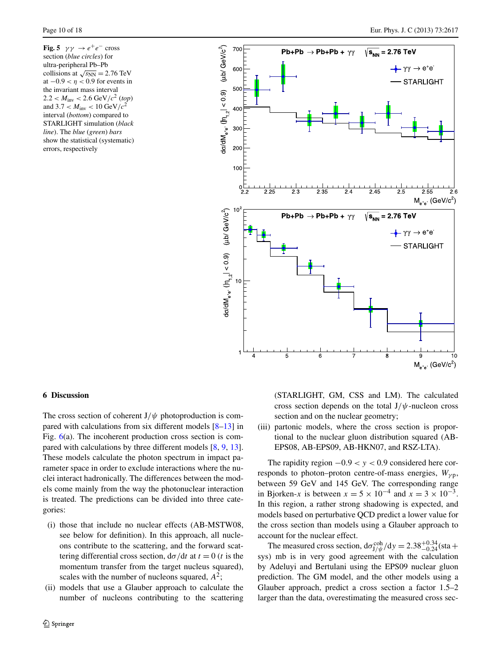<span id="page-9-0"></span>**Fig. 5**  $\gamma \gamma \rightarrow e^+e^-$  cross section (*blue circles*) for ultra-peripheral Pb–Pb collisions at  $\sqrt{s_{NN}}$  = 2.76 TeV at  $-0.9 < \eta < 0.9$  for events in the invariant mass interval  $2.2 < M_{\text{inv}} < 2.6 \text{ GeV}/c^2 \text{ (top)}$ and  $3.7 < M_{\text{inv}} < 10 \text{ GeV}/c^2$ interval (*bottom*) compared to STARLIGHT simulation (*black line*). The *blue* (*green*) *bars* show the statistical (systematic) errors, respectively



## **6 Discussion**

The cross section of coherent J*/ψ* photoproduction is compared with calculations from six different models [\[8](#page-11-7)[–13](#page-11-8)] in Fig. [6](#page-10-0)(a). The incoherent production cross section is com-pared with calculations by three different models [[8,](#page-11-7) [9](#page-11-20), [13](#page-11-8)]. These models calculate the photon spectrum in impact parameter space in order to exclude interactions where the nuclei interact hadronically. The differences between the models come mainly from the way the photonuclear interaction is treated. The predictions can be divided into three categories:

- (i) those that include no nuclear effects (AB-MSTW08, see below for definition). In this approach, all nucleons contribute to the scattering, and the forward scattering differential cross section,  $d\sigma/dt$  at  $t = 0$  (*t* is the momentum transfer from the target nucleus squared), scales with the number of nucleons squared,  $A^2$ ;
- (ii) models that use a Glauber approach to calculate the number of nucleons contributing to the scattering

(STARLIGHT, GM, CSS and LM). The calculated cross section depends on the total J*/ψ*-nucleon cross section and on the nuclear geometry;

(iii) partonic models, where the cross section is proportional to the nuclear gluon distribution squared (AB-EPS08, AB-EPS09, AB-HKN07, and RSZ-LTA).

The rapidity region  $-0.9 < y < 0.9$  considered here corresponds to photon–proton centre-of-mass energies,  $W_{\nu \nu}$ , between 59 GeV and 145 GeV. The corresponding range in Bjorken-*x* is between  $x = 5 \times 10^{-4}$  and  $x = 3 \times 10^{-3}$ . In this region, a rather strong shadowing is expected, and models based on perturbative QCD predict a lower value for the cross section than models using a Glauber approach to account for the nuclear effect.

The measured cross section,  $d\sigma_{J/\psi}^{\text{coh}}/dy = 2.38^{+0.34}_{-0.24}$  (sta + sys*)* mb is in very good agreement with the calculation by Adeluyi and Bertulani using the EPS09 nuclear gluon prediction. The GM model, and the other models using a Glauber approach, predict a cross section a factor 1.5–2 larger than the data, overestimating the measured cross sec-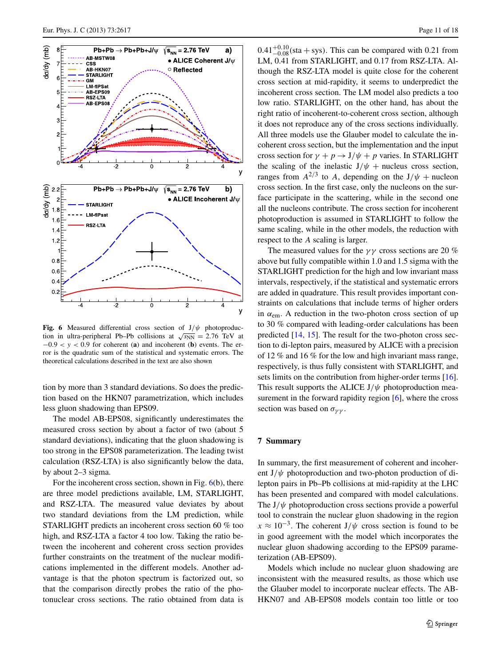

<span id="page-10-0"></span>**Fig. 6** Measured differential cross section of J*/ψ* photoproduction in ultra-peripheral Pb–Pb collisions at  $\sqrt{s_{NN}} = 2.76$  TeV at  $-0.9 < y < 0.9$  for coherent (**a**) and incoherent (**b**) events. The error is the quadratic sum of the statistical and systematic errors. The theoretical calculations described in the text are also shown

tion by more than 3 standard deviations. So does the prediction based on the HKN07 parametrization, which includes less gluon shadowing than EPS09.

The model AB-EPS08, significantly underestimates the measured cross section by about a factor of two (about 5 standard deviations), indicating that the gluon shadowing is too strong in the EPS08 parameterization. The leading twist calculation (RSZ-LTA) is also significantly below the data, by about 2–3 sigma.

For the incoherent cross section, shown in Fig. [6\(](#page-10-0)b), there are three model predictions available, LM, STARLIGHT, and RSZ-LTA. The measured value deviates by about two standard deviations from the LM prediction, while STARLIGHT predicts an incoherent cross section 60 % too high, and RSZ-LTA a factor 4 too low. Taking the ratio between the incoherent and coherent cross section provides further constraints on the treatment of the nuclear modifications implemented in the different models. Another advantage is that the photon spectrum is factorized out, so that the comparison directly probes the ratio of the photonuclear cross sections. The ratio obtained from data is

 $0.41^{+0.10}_{-0.08}$  (sta + sys). This can be compared with 0.21 from LM, 0.41 from STARLIGHT, and 0.17 from RSZ-LTA. Although the RSZ-LTA model is quite close for the coherent cross section at mid-rapidity, it seems to underpredict the incoherent cross section. The LM model also predicts a too low ratio. STARLIGHT, on the other hand, has about the right ratio of incoherent-to-coherent cross section, although it does not reproduce any of the cross sections individually. All three models use the Glauber model to calculate the incoherent cross section, but the implementation and the input cross section for  $\gamma + p \rightarrow J/\psi + p$  varies. In STARLIGHT the scaling of the inelastic  $J/\psi$  + nucleus cross section, ranges from  $A^{2/3}$  to *A*, depending on the  $J/\psi$  + nucleon cross section. In the first case, only the nucleons on the surface participate in the scattering, while in the second one all the nucleons contribute. The cross section for incoherent photoproduction is assumed in STARLIGHT to follow the same scaling, while in the other models, the reduction with respect to the *A* scaling is larger.

The measured values for the *γγ* cross sections are 20 % above but fully compatible within 1.0 and 1.5 sigma with the STARLIGHT prediction for the high and low invariant mass intervals, respectively, if the statistical and systematic errors are added in quadrature. This result provides important constraints on calculations that include terms of higher orders in  $\alpha_{\text{em}}$ . A reduction in the two-photon cross section of up to 30 % compared with leading-order calculations has been predicted [\[14](#page-11-9), [15](#page-11-10)]. The result for the two-photon cross section to di-lepton pairs, measured by ALICE with a precision of 12 % and 16 % for the low and high invariant mass range, respectively, is thus fully consistent with STARLIGHT, and sets limits on the contribution from higher-order terms [\[16](#page-11-11)]. This result supports the ALICE J*/ψ* photoproduction measurement in the forward rapidity region  $[6]$  $[6]$ , where the cross section was based on  $\sigma_{\gamma\gamma}$ .

#### **7 Summary**

In summary, the first measurement of coherent and incoherent J*/ψ* photoproduction and two-photon production of dilepton pairs in Pb–Pb collisions at mid-rapidity at the LHC has been presented and compared with model calculations. The  $J/\psi$  photoproduction cross sections provide a powerful tool to constrain the nuclear gluon shadowing in the region  $x \approx 10^{-3}$ . The coherent J/ $\psi$  cross section is found to be in good agreement with the model which incorporates the nuclear gluon shadowing according to the EPS09 parameterization (AB-EPS09).

Models which include no nuclear gluon shadowing are inconsistent with the measured results, as those which use the Glauber model to incorporate nuclear effects. The AB-HKN07 and AB-EPS08 models contain too little or too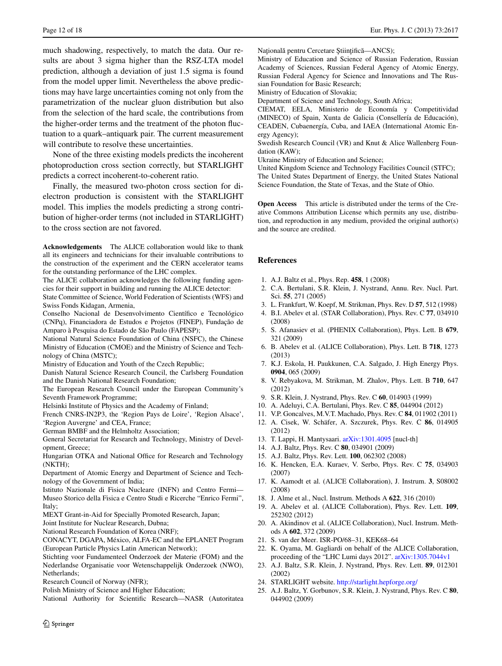Page 12 of 18 Eur. Phys. J. C (2013) 73:2617

much shadowing, respectively, to match the data. Our results are about 3 sigma higher than the RSZ-LTA model prediction, although a deviation of just 1.5 sigma is found from the model upper limit. Nevertheless the above predictions may have large uncertainties coming not only from the parametrization of the nuclear gluon distribution but also from the selection of the hard scale, the contributions from the higher-order terms and the treatment of the photon fluctuation to a quark–antiquark pair. The current measurement will contribute to resolve these uncertainties.

None of the three existing models predicts the incoherent photoproduction cross section correctly, but STARLIGHT predicts a correct incoherent-to-coherent ratio.

Finally, the measured two-photon cross section for dielectron production is consistent with the STARLIGHT model. This implies the models predicting a strong contribution of higher-order terms (not included in STARLIGHT) to the cross section are not favored.

**Acknowledgements** The ALICE collaboration would like to thank all its engineers and technicians for their invaluable contributions to the construction of the experiment and the CERN accelerator teams for the outstanding performance of the LHC complex.

The ALICE collaboration acknowledges the following funding agencies for their support in building and running the ALICE detector:

State Committee of Science, World Federation of Scientists (WFS) and Swiss Fonds Kidagan, Armenia,

Conselho Nacional de Desenvolvimento Científico e Tecnológico (CNPq), Financiadora de Estudos e Projetos (FINEP), Fundação de Amparo à Pesquisa do Estado de São Paulo (FAPESP);

National Natural Science Foundation of China (NSFC), the Chinese Ministry of Education (CMOE) and the Ministry of Science and Technology of China (MSTC);

Ministry of Education and Youth of the Czech Republic;

Danish Natural Science Research Council, the Carlsberg Foundation and the Danish National Research Foundation;

The European Research Council under the European Community's Seventh Framework Programme;

Helsinki Institute of Physics and the Academy of Finland;

French CNRS-IN2P3, the 'Region Pays de Loire', 'Region Alsace', 'Region Auvergne' and CEA, France;

German BMBF and the Helmholtz Association;

General Secretariat for Research and Technology, Ministry of Development, Greece;

Hungarian OTKA and National Office for Research and Technology (NKTH);

Department of Atomic Energy and Department of Science and Technology of the Government of India;

Istituto Nazionale di Fisica Nucleare (INFN) and Centro Fermi— Museo Storico della Fisica e Centro Studi e Ricerche "Enrico Fermi", Italy;

MEXT Grant-in-Aid for Specially Promoted Research, Japan;

Joint Institute for Nuclear Research, Dubna;

National Research Foundation of Korea (NRF);

CONACYT, DGAPA, México, ALFA-EC and the EPLANET Program (European Particle Physics Latin American Network);

Stichting voor Fundamenteel Onderzoek der Materie (FOM) and the Nederlandse Organisatie voor Wetenschappelijk Onderzoek (NWO), Netherlands;

Research Council of Norway (NFR);

Polish Ministry of Science and Higher Education;

National Authority for Scientific Research—NASR (Autoritatea

Națională pentru Cercetare Științifică—ANCS);

Ministry of Education and Science of Russian Federation, Russian Academy of Sciences, Russian Federal Agency of Atomic Energy, Russian Federal Agency for Science and Innovations and The Russian Foundation for Basic Research;

Ministry of Education of Slovakia;

Department of Science and Technology, South Africa;

CIEMAT, EELA, Ministerio de Economía y Competitividad (MINECO) of Spain, Xunta de Galicia (Consellería de Educación), CEADEN, Cubaenergía, Cuba, and IAEA (International Atomic Energy Agency);

Swedish Research Council (VR) and Knut & Alice Wallenberg Foundation (KAW);

Ukraine Ministry of Education and Science;

United Kingdom Science and Technology Facilities Council (STFC); The United States Department of Energy, the United States National Science Foundation, the State of Texas, and the State of Ohio.

<span id="page-11-2"></span><span id="page-11-1"></span><span id="page-11-0"></span>**Open Access** This article is distributed under the terms of the Creative Commons Attribution License which permits any use, distribution, and reproduction in any medium, provided the original author(s) and the source are credited.

## <span id="page-11-5"></span><span id="page-11-4"></span><span id="page-11-3"></span>**References**

- 1. A.J. Baltz et al., Phys. Rep. **458**, 1 (2008)
- <span id="page-11-6"></span>2. C.A. Bertulani, S.R. Klein, J. Nystrand, Annu. Rev. Nucl. Part. Sci. **55**, 271 (2005)
- 3. L. Frankfurt, W. Koepf, M. Strikman, Phys. Rev. D **57**, 512 (1998)
- <span id="page-11-20"></span><span id="page-11-7"></span>4. B.I. Abelev et al. (STAR Collaboration), Phys. Rev. C **77**, 034910 (2008)
- 5. S. Afanasiev et al. (PHENIX Collaboration), Phys. Lett. B **679**, 321 (2009)
- 6. B. Abelev et al. (ALICE Collaboration), Phys. Lett. B **718**, 1273 (2013)
- <span id="page-11-8"></span>7. K.J. Eskola, H. Paukkunen, C.A. Salgado, J. High Energy Phys. **0904**, 065 (2009)
- <span id="page-11-10"></span><span id="page-11-9"></span>8. V. Rebyakova, M. Strikman, M. Zhalov, Phys. Lett. B **710**, 647 (2012)
- 9. S.R. Klein, J. Nystrand, Phys. Rev. C **60**, 014903 (1999)
- <span id="page-11-12"></span><span id="page-11-11"></span>10. A. Adeluyi, C.A. Bertulani, Phys. Rev. C **85**, 044904 (2012)
- 11. V.P. Goncalves, M.V.T. Machado, Phys. Rev. C **84**, 011902 (2011)
- <span id="page-11-14"></span><span id="page-11-13"></span>12. A. Cisek, W. Schäfer, A. Szczurek, Phys. Rev. C **86**, 014905 (2012)
- 13. T. Lappi, H. Mantysaari. [arXiv:1301.4095](http://arxiv.org/abs/arXiv:1301.4095) [nucl-th]
- <span id="page-11-15"></span>14. A.J. Baltz, Phys. Rev. C **80**, 034901 (2009)
- 15. A.J. Baltz, Phys. Rev. Lett. **100**, 062302 (2008)
- <span id="page-11-17"></span><span id="page-11-16"></span>16. K. Hencken, E.A. Kuraev, V. Serbo, Phys. Rev. C **75**, 034903 (2007)
- 17. K. Aamodt et al. (ALICE Collaboration), J. Instrum. **3**, S08002 (2008)
- <span id="page-11-18"></span>18. J. Alme et al., Nucl. Instrum. Methods A **622**, 316 (2010)
- <span id="page-11-19"></span>19. A. Abelev et al. (ALICE Collaboration), Phys. Rev. Lett. **109**, 252302 (2012)
- <span id="page-11-21"></span>20. A. Akindinov et al. (ALICE Collaboration), Nucl. Instrum. Methods A **602**, 372 (2009)
- 21. S. van der Meer. ISR-PO/68–31, KEK68–64
- 22. K. Oyama, M. Gagliardi on behalf of the ALICE Collaboration, proceeding of the "LHC Lumi days 2012". [arXiv:1305.7044v1](http://arxiv.org/abs/arXiv:1305.7044v1)
- 23. A.J. Baltz, S.R. Klein, J. Nystrand, Phys. Rev. Lett. **89**, 012301 (2002)
- 24. STARLIGHT website. <http://starlight.hepforge.org/>
- 25. A.J. Baltz, Y. Gorbunov, S.R. Klein, J. Nystrand, Phys. Rev. C **80**, 044902 (2009)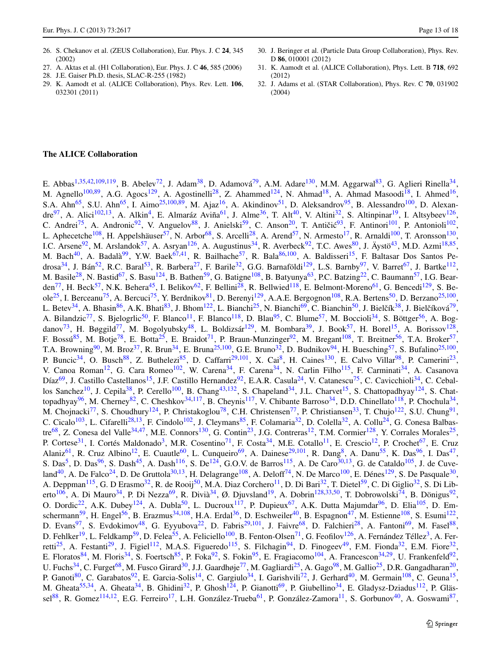- <span id="page-12-3"></span><span id="page-12-2"></span><span id="page-12-1"></span><span id="page-12-0"></span>26. S. Chekanov et al. (ZEUS Collaboration), Eur. Phys. J. C **24**, 345 (2002)
- 27. A. Aktas et al. (H1 Collaboration), Eur. Phys. J. C **46**, 585 (2006)
- 28. J.E. Gaiser Ph.D. thesis, SLAC-R-255 (1982)
- 29. K. Aamodt et al. (ALICE Collaboration), Phys. Rev. Lett. **106**, 032301 (2011)
- <span id="page-12-6"></span><span id="page-12-5"></span><span id="page-12-4"></span>30. J. Beringer et al. (Particle Data Group Collaboration), Phys. Rev. D **86**, 010001 (2012)
- 31. K. Aamodt et al. (ALICE Collaboration), Phys. Lett. B **718**, 692 (2012)
- 32. J. Adams et al. (STAR Collaboration), Phys. Rev. C **70**, 031902 (2004)

### **The ALICE Collaboration**

E. Abbas<sup>1[,35,](#page-15-0)[42](#page-15-1),[109](#page-16-0)[,119](#page-16-1)</sup>, B. Abelev<sup>72</sup>, J. Adam<sup>[38](#page-15-2)</sup>, D. Adamová<sup>79</sup>, A.M. Adare<sup>130</sup>, M.M. Aggarwal<sup>[83](#page-16-4)</sup>, G. Aglieri Rinella<sup>34</sup>, M. Agnello<sup>[100,](#page-16-5)[89](#page-16-6)</sup>, A.G. Agocs<sup>129</sup>, A. Agostinelli<sup>[28](#page-15-4)</sup>, Z. Ahammed<sup>[124](#page-17-2)</sup>, N. Ahmad<sup>[18](#page-14-1)</sup>, A. Ahmad Masoodi<sup>18</sup>, I. Ahmed<sup>16</sup>, S.A. Ahn<sup>65</sup>, S.U. Ahn<sup>65</sup>, I. Aimo<sup>[25](#page-15-6)[,100,](#page-16-5)[89](#page-16-6)</sup>, M. Ajaz<sup>[16](#page-14-2)</sup>, A. Akindinov<sup>51</sup>, D. Aleksandrov<sup>[95](#page-16-7)</sup>, B. Alessandro<sup>[100](#page-16-5)</sup>, D. Alexan-dre<sup>[97](#page-16-8)</sup>, A. Alici<sup>[102](#page-16-9),[13](#page-14-3)</sup>, A. Alkin<sup>[4](#page-14-4)</sup>, E. Almaráz Aviña<sup>61</sup>, J. Alme<sup>36</sup>, T. Alt<sup>40</sup>, V. Altini<sup>[32](#page-15-11)</sup>, S. Altinpinar<sup>19</sup>, I. Altsybeev<sup>[126](#page-17-3)</sup>, C. Andrei<sup>[75](#page-16-10)</sup>, A. Andronic<sup>[92](#page-16-11)</sup>, V. Anguelov<sup>88</sup>, J. Anielski<sup>59</sup>, C. Anson<sup>[20](#page-14-6)</sup>, T. Antičić<sup>[93](#page-16-13)</sup>, F. Antinori<sup>[101](#page-16-14)</sup>, P. Antonioli<sup>[102](#page-16-9)</sup>, L. Aphecetche<sup>[108](#page-16-15)</sup>, H. Appelshäuser<sup>[57](#page-15-13)</sup>, N. Arbor<sup>[68](#page-15-14)</sup>, S. Arcelli<sup>[28](#page-15-4)</sup>, A. Arend<sup>57</sup>, N. Armesto<sup>17</sup>, R. Arnaldi<sup>100</sup>, T. Aronsson<sup>[130](#page-17-0)</sup>, I.C. Arsene<sup>[92](#page-16-11)</sup>, M. Arslandok<sup>[57](#page-15-13)</sup>, A. Asryan<sup>126</sup>, A. Augustinus<sup>34</sup>, R. Averbeck<sup>92</sup>, T.C. Awes<sup>[80](#page-16-16)</sup>, J. Äystö<sup>[43](#page-15-15)</sup>, M.D. Azmi<sup>[18,](#page-14-1)[85](#page-16-17)</sup>, M. Bach<sup>[40](#page-15-10)</sup>, A. Badalà<sup>[99](#page-16-18)</sup>, Y.W. Baek<sup>[67](#page-15-16)[,41](#page-15-17)</sup>, R. Bailhache<sup>57</sup>, R. Bala<sup>[86](#page-16-19)[,100](#page-16-5)</sup>, A. Baldisseri<sup>[15](#page-14-8)</sup>, F. Baltasar Dos Santos Pe-drosa<sup>[34](#page-15-3)</sup>, J. Bán<sup>[52](#page-15-18)</sup>, R.C. Baral<sup>[53](#page-15-19)</sup>, R. Barbera<sup>[27](#page-15-20)</sup>, F. Barile<sup>32</sup>, G.G. Barnaföldi<sup>129</sup>, L.S. Barnby<sup>97</sup>, V. Barret<sup>[67](#page-15-16)</sup>, J. Bartke<sup>[112](#page-16-20)</sup>, M. Basile<sup>[28](#page-15-4)</sup>, N. Bastid<sup>[67](#page-15-16)</sup>, S. Basu<sup>124</sup>, B. Bathen<sup>59</sup>, G. Batigne<sup>[108](#page-16-15)</sup>, B. Batyunya<sup>[63](#page-15-21)</sup>, P.C. Batzing<sup>[22](#page-15-22)</sup>, C. Baumann<sup>[57](#page-15-13)</sup>, I.G. Bear-den<sup>[77](#page-16-21)</sup>, H. Beck<sup>57</sup>, N.K. Behera<sup>[45](#page-15-23)</sup>, I. Belikov<sup>[62](#page-15-24)</sup>, F. Bellini<sup>[28](#page-15-4)</sup>, R. Bellwied<sup>118</sup>, E. Belmont-Moreno<sup>[61](#page-15-8)</sup>, G. Bencedi<sup>[129](#page-17-1)</sup>, S. Be-ole<sup>[25](#page-15-6)</sup>, I. Berceanu<sup>[75](#page-16-10)</sup>, A. Bercuci<sup>75</sup>, Y. Berdnikov<sup>81</sup>, D. Berenyi<sup>129</sup>, A.A.E. Bergognon<sup>[108](#page-16-15)</sup>, R.A. Bertens<sup>[50](#page-15-25)</sup>, D. Berzano<sup>25,[100](#page-16-5)</sup>, L. Betev<sup>[34](#page-15-3)</sup>, A. Bhasin<sup>86</sup>, A.K. Bhati<sup>[83](#page-16-4)</sup>, J. Bhom<sup>122</sup>, L. Bianchi<sup>25</sup>, N. Bianchi<sup>[69](#page-15-26)</sup>, C. Bianchin<sup>[50](#page-15-25)</sup>, J. Bielčík<sup>[38](#page-15-2)</sup>, J. Bielčíková<sup>[79](#page-16-3)</sup>, A. Bilandzic<sup>77</sup>, S. Bjelogrlic<sup>[50](#page-15-25)</sup>, F. Blanco<sup>11</sup>, F. Blanco<sup>118</sup>, D. Blau<sup>[95](#page-16-7)</sup>, C. Blume<sup>57</sup>, M. Boccioli<sup>[34](#page-15-3)</sup>, S. Böttger<sup>[56](#page-15-27)</sup>, A. Bog-danov<sup>[73](#page-16-24)</sup>, H. Bøggild<sup>[77](#page-16-21)</sup>, M. Bogolyubsky<sup>[48](#page-15-28)</sup>, L. Boldizsár<sup>129</sup>, M. Bombara<sup>[39](#page-15-29)</sup>, J. Book<sup>57</sup>, H. Borel<sup>[15](#page-14-8)</sup>, A. Borissov<sup>[128](#page-17-5)</sup>, F. Bossú<sup>[85](#page-16-17)</sup>, M. Botje<sup>[78](#page-16-25)</sup>, E. Botta<sup>25</sup>, E. Braidot<sup>71</sup>, P. Braun-Munzinger<sup>[92](#page-16-11)</sup>, M. Bregant<sup>[108](#page-16-15)</sup>, T. Breitner<sup>56</sup>, T.A. Broker<sup>57</sup>, T.A. Browning<sup>90</sup>, M. Broz<sup>37</sup>, R. Brun<sup>34</sup>, E. Bruna<sup>[25](#page-15-6)[,100](#page-16-5)</sup>, G.E. Bruno<sup>[32](#page-15-11)</sup>, D. Budnikov<sup>94</sup>, H. Buesching<sup>[57](#page-15-13)</sup>, S. Bufalino<sup>25,[100](#page-16-5)</sup>, P. Buncic<sup>[34](#page-15-3)</sup>, O. Busch<sup>[88](#page-16-12)</sup>, Z. Buthelezi<sup>85</sup>, D. Caffarri<sup>29,[101](#page-16-14)</sup>, X. Cai<sup>[8](#page-14-10)</sup>, H. Caines<sup>130</sup>, E. Calvo Villar<sup>98</sup>, P. Camerini<sup>23</sup>, V. Canoa Roman<sup>[12](#page-14-11)</sup>, G. Cara Romeo<sup>102</sup>, W. Carena<sup>[34](#page-15-3)</sup>, F. Carena<sup>34</sup>, N. Carlin Filho<sup>[115](#page-16-30)</sup>, F. Carminati<sup>34</sup>, A. Casanova Díaz<sup>[69](#page-15-26)</sup>, J. Castillo Castellanos<sup>15</sup>, J.F. Castillo Hernandez<sup>92</sup>, E.A.R. Casula<sup>[24](#page-15-33)</sup>, V. Catanescu<sup>75</sup>, C. Cavicchioli<sup>34</sup>, C. Cebal-los Sanchez<sup>10</sup>, J. Cepila<sup>38</sup>, P. Cerello<sup>[100](#page-16-5)</sup>, B. Chang<sup>43,[132](#page-17-6)</sup>, S. Chapeland<sup>[34](#page-15-3)</sup>, J.L. Charvet<sup>15</sup>, S. Chattopadhyay<sup>124</sup>, S. Chat-topadhyay<sup>96</sup>, M. Cherney<sup>[82](#page-16-32)</sup>, C. Cheshkov<sup>34,[117](#page-16-33)</sup>, B. Cheynis<sup>117</sup>, V. Chibante Barroso<sup>34</sup>, D.D. Chinellato<sup>[118](#page-16-22)</sup>, P. Chochula<sup>34</sup>, M. Chojnacki<sup>[77](#page-16-21)</sup>, S. Choudhury<sup>[124](#page-17-2)</sup>, P. Christakoglou<sup>78</sup>, C.H. Christensen<sup>77</sup>, P. Christiansen<sup>33</sup>, T. Chujo<sup>122</sup>, S.U. Chung<sup>91</sup>, C. Cicalo<sup>[103](#page-16-35)</sup>, L. Cifarelli<sup>[28](#page-15-4)[,13](#page-14-3)</sup>, F. Cindolo<sup>102</sup>, J. Cleymans<sup>85</sup>, F. Colamaria<sup>[32](#page-15-11)</sup>, D. Colella<sup>32</sup>, A. Collu<sup>24</sup>, G. Conesa Balbas-tre<sup>[68](#page-15-14)</sup>, Z. Conesa del Valle<sup>34,[47](#page-15-35)</sup>, M.E. Connors<sup>[130](#page-17-0)</sup>, G. Contin<sup>23</sup>, J.G. Contreras<sup>12</sup>, T.M. Cormier<sup>[128](#page-17-5)</sup>, Y. Corrales Morales<sup>25</sup>, P. Cortese<sup>[31](#page-15-36)</sup>, I. Cortés Maldonado<sup>[3](#page-14-13)</sup>, M.R. Cosentino<sup>71</sup>, F. Costa<sup>[34](#page-15-3)</sup>, M.E. Cotallo<sup>11</sup>, E. Crescio<sup>[12](#page-14-11)</sup>, P. Crochet<sup>[67](#page-15-16)</sup>, E. Cruz Alaniz<sup>[61](#page-15-8)</sup>, R. Cruz Albino<sup>[12](#page-14-11)</sup>, E. Cuautle<sup>[60](#page-15-37)</sup>, L. Cunqueiro<sup>69</sup>, A. Dainese<sup>29,[101](#page-16-14)</sup>, R. Dang<sup>[8](#page-14-10)</sup>, A. Danu<sup>55</sup>, K. Das<sup>[96](#page-16-31)</sup>, I. Das<sup>47</sup>, S. Das<sup>[5](#page-14-14)</sup>, D. Das<sup>[96](#page-16-31)</sup>, S. Dash<sup>45</sup>, A. Dash<sup>116</sup>, S. De<sup>[124](#page-17-2)</sup>, G.O.V. de Barros<sup>115</sup>, A. De Caro<sup>[30](#page-15-39)[,13](#page-14-3)</sup>, G. de Cataldo<sup>105</sup>, J. de Cuve-land<sup>[40](#page-15-10)</sup>, A. De Falco<sup>[24](#page-15-33)</sup>, D. De Gruttola<sup>30,[13](#page-14-3)</sup>, H. Delagrange<sup>108</sup>, A. Deloff<sup>[74](#page-16-38)</sup>, N. De Marco<sup>[100](#page-16-5)</sup>, E. Dénes<sup>129</sup>, S. De Pasquale<sup>30</sup>, A. Deppman<sup>[115](#page-16-30)</sup>, G. D Erasmo<sup>32</sup>, R. de Rooij<sup>[50](#page-15-25)</sup>, M.A. Diaz Corchero<sup>11</sup>, D. Di Bari<sup>32</sup>, T. Dietel<sup>[59](#page-15-12)</sup>, C. Di Giglio<sup>[32](#page-15-11)</sup>, S. Di Lib-erto<sup>[106](#page-16-39)</sup>, A. Di Mauro<sup>[34](#page-15-3)</sup>, P. Di Nezza<sup>69</sup>, R. Divià<sup>34</sup>, Ø. Djuvsland<sup>19</sup>, A. Dobrin<sup>128[,33,](#page-15-34)[50](#page-15-25)</sup>, T. Dobrowolski<sup>[74](#page-16-38)</sup>, B. Dönigus<sup>92</sup>, O. Dordic<sup>[22](#page-15-22)</sup>, A.K. Dubey<sup>[124](#page-17-2)</sup>, A. Dubla<sup>[50](#page-15-25)</sup>, L. Ducroux<sup>[117](#page-16-33)</sup>, P. Dupieux<sup>67</sup>, A.K. Dutta Majumdar<sup>[96](#page-16-31)</sup>, D. Elia<sup>[105](#page-16-37)</sup>, D. Em-schermann<sup>59</sup>, H. Engel<sup>[56](#page-15-27)</sup>, B. Erazmus<sup>[34,](#page-15-3)[108](#page-16-15)</sup>, H.A. Erdal<sup>36</sup>, D. Eschweiler<sup>40</sup>, B. Espagnon<sup>[47](#page-15-35)</sup>, M. Estienne<sup>108</sup>, S. Esumi<sup>[122](#page-17-4)</sup>, D. Evans<sup>[97](#page-16-8)</sup>, S. Evdokimov<sup>48</sup>, G. Eyyubova<sup>[22](#page-15-22)</sup>, D. Fabris<sup>[29](#page-15-31)[,101](#page-16-14)</sup>, J. Faivre<sup>[68](#page-15-14)</sup>, D. Falchieri<sup>28</sup>, A. Fantoni<sup>[69](#page-15-26)</sup>, M. Fasel<sup>88</sup>, D. Fehlker<sup>19</sup>, L. Feldkamp<sup>59</sup>, D. Felea<sup>55</sup>, A. Feliciello<sup>100</sup>, B. Fenton-Olsen<sup>[71](#page-16-26)</sup>, G. Feofilov<sup>126</sup>, A. Fernández Téllez<sup>3</sup>, A. Fer-retti<sup>[25](#page-15-6)</sup>, A. Festanti<sup>29</sup>, J. Figiel<sup>[112](#page-16-20)</sup>, M.A.S. Figueredo<sup>[115](#page-16-30)</sup>, S. Filchagin<sup>94</sup>, D. Finogeev<sup>49</sup>, F.M. Fionda<sup>[32](#page-15-11)</sup>, E.M. Fiore<sup>32</sup>, E. Floratos<sup>84</sup>, M. Floris<sup>34</sup>, S. Foertsch<sup>[85](#page-16-17)</sup>, P. Foka<sup>[92](#page-16-11)</sup>, S. Fokin<sup>95</sup>, E. Fragiacomo<sup>[104](#page-16-41)</sup>, A. Francescon<sup>[34,](#page-15-3)[29](#page-15-31)</sup>, U. Frankenfeld<sup>92</sup>, U. Fuchs<sup>[34](#page-15-3)</sup>, C. Furget<sup>[68](#page-15-14)</sup>, M. Fusco Girard<sup>30</sup>, J.J. Gaardhøje<sup>[77](#page-16-21)</sup>, M. Gagliardi<sup>[25](#page-15-6)</sup>, A. Gago<sup>98</sup>, M. Gallio<sup>25</sup>, D.R. Gangadharan<sup>20</sup>, P. Ganoti<sup>80</sup>, C. Garabatos<sup>92</sup>, E. Garcia-Solis<sup>14</sup>, C. Gargiulo<sup>34</sup>, I. Garishvili<sup>[72](#page-16-2)</sup>, J. Gerhard<sup>40</sup>, M. Germain<sup>[108](#page-16-15)</sup>, C. Geuna<sup>15</sup>, M. Gheata<sup>[55,](#page-15-38)[34](#page-15-3)</sup>, A. Gheata<sup>34</sup>, B. Ghidini<sup>[32](#page-15-11)</sup>, P. Ghosh<sup>[124](#page-17-2)</sup>, P. Gianotti<sup>69</sup>, P. Giubellino<sup>34</sup>, E. Gladysz-Dziadus<sup>[112](#page-16-20)</sup>, P. Gläs-sel<sup>[88](#page-16-12)</sup>, R. Gomez<sup>[114](#page-16-42)[,12](#page-14-11)</sup>, E.G. Ferreiro<sup>17</sup>, L.H. González-Trueba<sup>[61](#page-15-8)</sup>, P. González-Zamora<sup>[11](#page-14-9)</sup>, S. Gorbunov<sup>[40](#page-15-10)</sup>, A. Goswami<sup>87</sup>,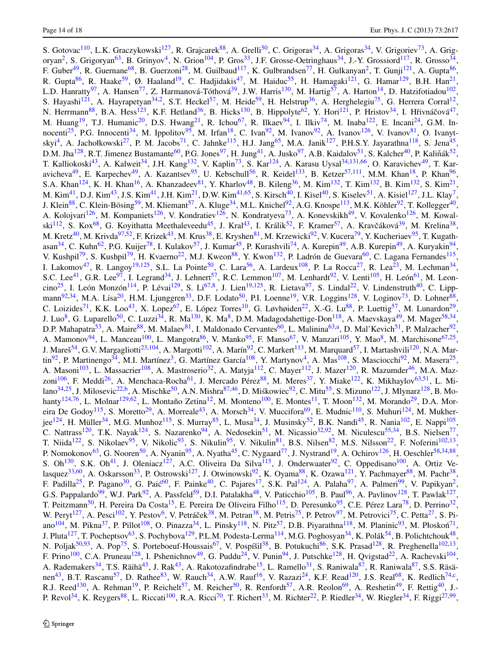S. Gotovac<sup>[110](#page-16-44)</sup>, L.K. Graczykowski<sup>127</sup>, R. Grajcarek<sup>88</sup>, A. Grelli<sup>50</sup>, C. Grigoras<sup>[34](#page-15-3)</sup>, A. Grigoras<sup>34</sup>, V. Grigoriev<sup>[73](#page-16-24)</sup>, A. Grig-oryan<sup>[2](#page-14-16)</sup>, S. Grigoryan<sup>63</sup>, B. Grinyov<sup>[4](#page-14-4)</sup>, N. Grion<sup>104</sup>, P. Gros<sup>33</sup>, J.F. Grosse-Oetringhaus<sup>34</sup>, J.-Y. Grossiord<sup>[117](#page-16-33)</sup>, R. Grosso<sup>34</sup>, F. Guber<sup>49</sup>, R. Guernane<sup>[68](#page-15-14)</sup>, B. Guerzoni<sup>[2](#page-14-16)8</sup>, M. Guilbaud<sup>117</sup>, K. Gulbrandsen<sup>77</sup>, H. Gulkanyan<sup>2</sup>, T. Gunji<sup>121</sup>, A. Gupta<sup>86</sup>, R. Gupta<sup>[86](#page-16-19)</sup>, R. Haake<sup>59</sup>, Ø. Haaland<sup>[19](#page-14-5)</sup>, C. Hadjidakis<sup>[47](#page-15-35)</sup>, M. Haiduc<sup>55</sup>, H. Hamagaki<sup>[121](#page-17-8)</sup>, G. Hamar<sup>[129](#page-17-1)</sup>, B.H. Han<sup>21</sup>, L.D. Hanratty<sup>[97](#page-16-8)</sup>, A. Hansen<sup>[77](#page-16-21)</sup>, Z. Harmanová-Tóthová<sup>39</sup>, J.W. Harris<sup>[130](#page-17-0)</sup>, M. Hartig<sup>57</sup>, A. Harton<sup>14</sup>, D. Hatzifotiadou<sup>[102](#page-16-9)</sup>, S. Hayashi<sup>[121](#page-17-8)</sup>, A. Hayrapetyan<sup>[34](#page-15-3)[,2](#page-14-16)</sup>, S.T. Heckel<sup>[57](#page-15-13)</sup>, M. Heide<sup>[59](#page-15-12)</sup>, H. Helstrup<sup>36</sup>, A. Herghelegiu<sup>75</sup>, G. Herrera Corral<sup>12</sup>, N. Herrmann<sup>88</sup>, B.A. Hess<sup>123</sup>, K.F. Hetland<sup>[36](#page-15-9)</sup>, B. Hicks<sup>130</sup>, B. Hippolyte<sup>62</sup>, Y. Hori<sup>[121](#page-17-8)</sup>, P. Hristov<sup>34</sup>, I. Hřivnáčová<sup>[47](#page-15-35)</sup>, M. Huang<sup>[19](#page-14-5)</sup>, T.J. Humanic<sup>20</sup>, D.S. Hwang<sup>[21](#page-15-41)</sup>, R. Ichou<sup>67</sup>, R. Ilkaev<sup>94</sup>, I. Ilkiv<sup>[74](#page-16-38)</sup>, M. Inaba<sup>122</sup>, E. Incani<sup>24</sup>, G.M. In-nocenti<sup>25</sup>, P.G. Innocenti<sup>34</sup>, M. Ippolitov<sup>95</sup>, M. Irfan<sup>[18](#page-14-1)</sup>, C. Ivan<sup>[92](#page-16-11)</sup>, M. Ivanov<sup>92</sup>, A. Ivanov<sup>[126](#page-17-3)</sup>, V. Ivanov<sup>[81](#page-16-23)</sup>, O. Ivanyt-skyi<sup>[4](#page-14-4)</sup>, A. Jachołkowski<sup>[27](#page-15-20)</sup>, P. M. Jacobs<sup>[71](#page-16-26)</sup>, C. Jahnke<sup>115</sup>, H.J. Jang<sup>65</sup>, M.A. Janik<sup>[127](#page-17-7)</sup>, P.H.S.Y. Jayarathna<sup>118</sup>, S. Jena<sup>45</sup>, D.M. Jha<sup>[128](#page-17-5)</sup>, R.T. Jimenez Bustamante<sup>60</sup>, P.G. Jones<sup>[97](#page-16-8)</sup>, H. Jung<sup>41</sup>, A. Jusko<sup>97</sup>, A.B. Kaidalov<sup>51</sup>, S. Kalcher<sup>40</sup>, P. Kaliňák<sup>[52](#page-15-18)</sup>, T. Kalliokoski<sup>[43](#page-15-15)</sup>, A. Kalweit<sup>34</sup>, J.H. Kang<sup>132</sup>, V. Kaplin<sup>73</sup>, S. Kar<sup>124</sup>, A. Karasu Uysal<sup>34,[131](#page-17-10),[66](#page-15-42)</sup>, O. Karavichev<sup>[49](#page-15-40)</sup>, T. Kar-avicheva<sup>[49](#page-15-40)</sup>, E. Karpechev<sup>49</sup>, A. Kazantsev<sup>[95](#page-16-7)</sup>, U. Kebschull<sup>[56](#page-15-27)</sup>, R. Keidel<sup>133</sup>, B. Ketzer<sup>[57](#page-15-13)[,111](#page-16-45)</sup>, M.M. Khan<sup>[18](#page-14-1)</sup>, P. Khan<sup>96</sup>, S.A. Khan<sup>124</sup>, K. H. Khan<sup>[16](#page-14-2)</sup>, A. Khanzadeev<sup>[81](#page-16-23)</sup>, Y. Kharlov<sup>[48](#page-15-28)</sup>, B. Kileng<sup>36</sup>, M. Kim<sup>[132](#page-17-6)</sup>, T. Kim<sup>132</sup>, B. Kim<sup>132</sup>, S. Kim<sup>21</sup>, M. Kim<sup>[41](#page-15-17)</sup>, D.J. Kim<sup>43</sup>, J.S. Kim<sup>41</sup>, J.H. Kim<sup>21</sup>, D.W. Kim<sup>41[,65](#page-15-5)</sup>, S. Kirsch<sup>[40](#page-15-10)</sup>, I. Kisel<sup>40</sup>, S. Kiselev<sup>51</sup>, A. Kisiel<sup>[127](#page-17-7)</sup>, J.L. Klay<sup>7</sup>, J. Klein<sup>[88](#page-16-12)</sup>, C. Klein-Bösing<sup>[59](#page-15-12)</sup>, M. Kliemant<sup>57</sup>, A. Kluge<sup>34</sup>, M.L. Knichel<sup>[92](#page-16-11)</sup>, A.G. Knospe<sup>[113](#page-16-46)</sup>, M.K. Köhler<sup>92</sup>, T. Kollegger<sup>40</sup>, A. Kolojvari<sup>[126](#page-17-3)</sup>, M. Kompaniets<sup>126</sup>, V. Kondratiev<sup>126</sup>, N. Kondratyeva<sup>73</sup>, A. Konevskikh<sup>49</sup>, V. Kovalenko<sup>126</sup>, M. Kowal-ski<sup>112</sup>, S. Kox<sup>68</sup>, G. Koyithatta Meethaleveedu<sup>[45](#page-15-23)</sup>, J. Kral<sup>[43](#page-15-15)</sup>, I. Králik<sup>52</sup>, F. Kramer<sup>57</sup>, A. Kravčáková<sup>[39](#page-15-29)</sup>, M. Krelina<sup>38</sup>, M. Kretz<sup>[40](#page-15-10)</sup>, M. Krivda<sup>[97,](#page-16-8)[52](#page-15-18)</sup>, F. Krizek<sup>[43](#page-15-15)</sup>, M. Krus<sup>[38](#page-15-2)</sup>, E. Kryshen<sup>81</sup>, M. Krzewicki<sup>92</sup>, V. Kucera<sup>79</sup>, Y. Kucheriaev<sup>95</sup>, T. Kugath-asan<sup>[34](#page-15-3)</sup>, C. Kuhn<sup>[62](#page-15-24)</sup>, P.G. Kuijer<sup>[78](#page-16-25)</sup>, I. Kulakov<sup>[57](#page-15-13)</sup>, J. Kumar<sup>[45](#page-15-23)</sup>, P. Kurashvili<sup>74</sup>, A. Kurepin<sup>[49](#page-15-40)</sup>, A.B. Kurepin<sup>49</sup>, A. Kuryakin<sup>94</sup>, V. Kushpil<sup>[79](#page-16-3)</sup>, S. Kushpil<sup>79</sup>, H. Kvaerno<sup>22</sup>, M.J. Kweon<sup>[88](#page-16-12)</sup>, Y. Kwon<sup>132</sup>, P. Ladrón de Guevara<sup>60</sup>, C. Lagana Fernandes<sup>[115](#page-16-30)</sup>, I. Lakomov<sup>[47](#page-15-35)</sup>, R. Langoy<sup>19,[125](#page-17-12)</sup>, S.L. La Pointe<sup>[50](#page-15-25)</sup>, C. Lara<sup>56</sup>, A. Lardeux<sup>108</sup>, P. La Rocca<sup>27</sup>, R. Lea<sup>23</sup>, M. Lechman<sup>34</sup>, S.C. Lee<sup>[41](#page-15-17)</sup>, G.R. Lee<sup>97</sup>, I. Legrand<sup>34</sup>, J. Lehnert<sup>57</sup>, R.C. Lemmon<sup>[107](#page-16-47)</sup>, M. Lenhardt<sup>[92](#page-16-11)</sup>, V. Lenti<sup>105</sup>, H. León<sup>[61](#page-15-8)</sup>, M. Leon-cino<sup>[25](#page-15-6)</sup>, I. León Monzón<sup>[114](#page-16-42)</sup>, P. Lévai<sup>[129](#page-17-1)</sup>, S. Li<sup>67,[8](#page-14-10)</sup>, J. Lien<sup>[19](#page-14-5)[,125](#page-17-12)</sup>, R. Lietava<sup>97</sup>, S. Lindal<sup>22</sup>, V. Lindenstruth<sup>[40](#page-15-10)</sup>, C. Lipp-mann<sup>[92,](#page-16-11)[34](#page-15-3)</sup>, M.A. Lisa<sup>[20](#page-14-6)</sup>, H.M. Ljunggren<sup>[33](#page-15-34)</sup>, D.F. Lodato<sup>50</sup>, P.I. Loenne<sup>19</sup>, V.R. Loggins<sup>[128](#page-17-5)</sup>, V. Loginov<sup>[73](#page-16-24)</sup>, D. Lohner<sup>88</sup>, C. Loizides<sup>71</sup>, K.K. Loo<sup>43</sup>, X. Lopez<sup>[67](#page-15-16)</sup>, E. López Torres<sup>[10](#page-14-12)</sup>, G. Løvhøiden<sup>22</sup>, X.-G. Lu<sup>88</sup>, P. Luettig<sup>[57](#page-15-13)</sup>, M. Lunardon<sup>29</sup>, J. Luo<sup>[8](#page-14-10)</sup>, G. Luparello<sup>50</sup>, C. Luzzi<sup>34</sup>, R. Ma<sup>130</sup>, K. Ma<sup>8</sup>, D.M. Madagodahettige-Don<sup>118</sup>, A. Maevskaya<sup>[49](#page-15-40)</sup>, M. Mager<sup>[58,](#page-15-43)[34](#page-15-3)</sup>, D.P. Mahapatra<sup>[53](#page-15-19)</sup>, A. Maire<sup>88</sup>, M. Malaev<sup>81</sup>, I. Maldonado Cervantes<sup>60</sup>, L. Malinina<sup>[63](#page-15-21)[,a](#page-17-13)</sup>, D. Mal'Kevich<sup>51</sup>, P. Malzacher<sup>92</sup>, A. Mamonov<sup>[94](#page-16-28)</sup>, L. Manceau<sup>[100](#page-16-5)</sup>, L. Mangotra<sup>[86](#page-16-19)</sup>, V. Manko<sup>95</sup>, F. Manso<sup>[67](#page-15-16)</sup>, V. Manzari<sup>105</sup>, Y. Mao<sup>8</sup>, M. Marchisone<sup>[67,](#page-15-16)[25](#page-15-6)</sup>, J. Mareš<sup>54</sup>, G.V. Margagliotti<sup>23,[104](#page-16-41)</sup>, A. Margotti<sup>102</sup>, A. Marín<sup>92</sup>, C. Markert<sup>113</sup>, M. Marquard<sup>[57](#page-15-13)</sup>, I. Martashvili<sup>[120](#page-16-48)</sup>, N.A. Mar-tin<sup>[92](#page-16-11)</sup>, P. Martinengo<sup>34</sup>, M.I. Martínez<sup>3</sup>, G. Martínez García<sup>[108](#page-16-15)</sup>, Y. Martynov<sup>4</sup>, A. Mas<sup>108</sup>, S. Masciocchi<sup>92</sup>, M. Masera<sup>25</sup>, A. Masoni<sup>[103](#page-16-35)</sup>, L. Massacrier<sup>108</sup>, A. Mastroserio<sup>[32](#page-15-11)</sup>, A. Matyja<sup>[112](#page-16-20)</sup>, C. Mayer<sup>112</sup>, J. Mazer<sup>[120](#page-16-48)</sup>, R. Mazumder<sup>46</sup>, M.A. Maz-zoni<sup>106</sup>, F. Meddi<sup>[26](#page-15-46)</sup>, A. Menchaca-Rocha<sup>61</sup>, J. Mercado Pérez<sup>[88](#page-16-12)</sup>, M. Meres<sup>[37](#page-15-30)</sup>, Y. Miake<sup>122</sup>, K. Mikhaylov<sup>63,[51](#page-15-7)</sup>, L. Mi- $\lim_{n \to \infty} 34,25$  $\lim_{n \to \infty} 34,25$  $\lim_{n \to \infty} 34,25$ , J. Milosevic<sup>22,[b](#page-17-14)</sup>, A. Mischke<sup>[50](#page-15-25)</sup>, A.N. Mishra<sup>87,[46](#page-15-45)</sup>, D. Miskowiec<sup>[92](#page-16-11)</sup>, C. Mitu<sup>55</sup>, S. Mizuno<sup>122</sup>, J. Mlynarz<sup>128</sup>, B. Mo-hanty<sup>[124](#page-17-2)[,76](#page-16-49)</sup>, L. Molnar<sup>129,[62](#page-15-24)</sup>, L. Montaño Zetina<sup>12</sup>, M. Monteno<sup>[100](#page-16-5)</sup>, E. Montes<sup>11</sup>, T. Moon<sup>132</sup>, M. Morando<sup>29</sup>, D.A. Mor-eira De Godoy<sup>[115](#page-16-30)</sup>, S. Moretto<sup>29</sup>, A. Morreale<sup>43</sup>, A. Morsch<sup>[34](#page-15-3)</sup>, V. Muccifora<sup>[69](#page-15-26)</sup>, E. Mudnic<sup>[110](#page-16-44)</sup>, S. Muhuri<sup>[124](#page-17-2)</sup>, M. Mukher-jee<sup>[124](#page-17-2)</sup>, H. Müller<sup>[34](#page-15-3)</sup>, M.G. Munhoz<sup>[115](#page-16-30)</sup>, S. Murray<sup>85</sup>, L. Musa<sup>34</sup>, J. Musinsky<sup>[52](#page-15-18)</sup>, B.K. Nandi<sup>[45](#page-15-23)</sup>, R. Nania<sup>102</sup>, E. Nappi<sup>[105](#page-16-37)</sup>, C. Nattrass<sup>120</sup>, T.K. Nayak<sup>124</sup>, S. Nazarenko<sup>[94](#page-16-28)</sup>, A. Nedosekin<sup>[51](#page-15-7)</sup>, M. Nicassio<sup>32,[92](#page-16-11)</sup>, M. Niculescu<sup>[55](#page-15-38)[,34](#page-15-3)</sup>, B.S. Nielsen<sup>77</sup>, T. Niida<sup>[122](#page-17-4)</sup>, S. Nikolaev<sup>[95](#page-16-7)</sup>, V. Nikolic<sup>[93](#page-16-13)</sup>, S. Nikulin<sup>95</sup>, V. Nikulin<sup>81</sup>, B.S. Nilsen<sup>82</sup>, M.S. Nilsson<sup>[22](#page-15-22)</sup>, F. Noferini<sup>102,[13](#page-14-3)</sup>, P. Nomokonov<sup>63</sup>, G. Nooren<sup>50</sup>, A. Nyanin<sup>[95](#page-16-7)</sup>, A. Nyatha<sup>45</sup>, C. Nygaard<sup>77</sup>, J. Nystrand<sup>[19](#page-14-5)</sup>, A. Ochirov<sup>[126](#page-17-3)</sup>, H. Oeschler<sup>[58](#page-15-43),[34,](#page-15-3)[88](#page-16-12)</sup>, S. Oh<sup>[130](#page-17-0)</sup>, S.K. Oh<sup>[41](#page-15-17)</sup>, J. Oleniacz<sup>127</sup>, A.C. Oliveira Da Silva<sup>[115](#page-16-30)</sup>, J. Onderwaater<sup>[92](#page-16-11)</sup>, C. Oppedisano<sup>100</sup>, A. Ortiz Ve-lasquez<sup>[33](#page-15-34)[,60](#page-15-37)</sup>, A. Oskarsson<sup>33</sup>, P. Ostrowski<sup>127</sup>, J. Otwinowski<sup>92</sup>, K. Oyama<sup>[88](#page-16-12)</sup>, K. Ozawa<sup>[121](#page-17-8)</sup>, Y. Pachmayer<sup>88</sup>, M. Pachr<sup>38</sup>, F. Padilla<sup>[25](#page-15-6)</sup>, P. Pagano<sup>[30](#page-15-39)</sup>, G. Paić<sup>[60](#page-15-37)</sup>, F. Painke<sup>[40](#page-15-10)</sup>, C. Pajares<sup>17</sup>, S.K. Pal<sup>[124](#page-17-2)</sup>, A. Palaha<sup>97</sup>, A. Palmeri<sup>99</sup>, V. Papikyan<sup>2</sup>, G.S. Pappalardo<sup>[99](#page-16-18)</sup>, W.J. Park<sup>92</sup>, A. Passfeld<sup>[59](#page-15-12)</sup>, D.I. Patalakha<sup>48</sup>, V. Paticchio<sup>[105](#page-16-37)</sup>, B. Paul<sup>96</sup>, A. Pavlinov<sup>[128](#page-17-5)</sup>, T. Pawlak<sup>[127](#page-17-7)</sup>, T. Peitzmann<sup>50</sup>, H. Pereira Da Costa<sup>15</sup>, E. Pereira De Oliveira Filho<sup>[115](#page-16-30)</sup>, D. Peresunko<sup>95</sup>, C.E. Pérez Lara<sup>78</sup>, D. Perrino<sup>32</sup>, W. Peryt<sup>[127](#page-17-7)</sup>, A. Pesci<sup>[102](#page-16-9)</sup>, Y. Pestov<sup>6</sup>, V. Petráček<sup>[38](#page-15-2)</sup>, M. Petran<sup>38</sup>, M. Petris<sup>[75](#page-16-10)</sup>, P. Petrov<sup>97</sup>, M. Petrovici<sup>75</sup>, C. Petta<sup>27</sup>, S. Pi-ano<sup>[104](#page-16-41)</sup>, M. Pikna<sup>[37](#page-15-30)</sup>, P. Pillot<sup>[108](#page-16-15)</sup>, O. Pinazza<sup>[34](#page-15-3)</sup>, L. Pinsky<sup>[118](#page-16-22)</sup>, N. Pitz<sup>57</sup>, D.B. Piyarathna<sup>118</sup>, M. Planinic<sup>[93](#page-16-13)</sup>, M. Płoskoń<sup>[71](#page-16-26)</sup>, J. Pluta<sup>[127](#page-17-7)</sup>, T. Pocheptsov<sup>63</sup>, S. Pochybova<sup>129</sup>, P.L.M. Podesta-Lerma<sup>114</sup>, M.G. Poghosyan<sup>34</sup>, K. Polák<sup>[54](#page-15-44)</sup>, B. Polichtchouk<sup>48</sup>, N. Poljak<sup>[50,](#page-15-25)[93](#page-16-13)</sup>, A. Pop<sup>75</sup>, S. Porteboeuf-Houssais<sup>[67](#page-15-16)</sup>, V. Pospíšil<sup>38</sup>, B. Potukuchi<sup>86</sup>, S.K. Prasad<sup>[128](#page-17-5)</sup>, R. Preghenella<sup>102,[13](#page-14-3)</sup>, F. Prino<sup>[100](#page-16-5)</sup>, C.A. Pruneau<sup>[128](#page-17-5)</sup>, I. Pshenichnov<sup>49</sup>, G. Puddu<sup>[24](#page-15-33)</sup>, V. Punin<sup>94</sup>, J. Putschke<sup>128</sup>, H. Qvigstad<sup>22</sup>, A. Rachevski<sup>[104](#page-16-41)</sup>, A. Rademakers<sup>[34](#page-15-3)</sup>, T.S. Räihä<sup>[43](#page-15-15)</sup>, J. Rak<sup>43</sup>, A. Rakotozafindrabe<sup>15</sup>, L. Ramello<sup>31</sup>, S. Raniwala<sup>[87](#page-16-43)</sup>, R. Raniwala<sup>87</sup>, S.S. Räsä-nen<sup>[43](#page-15-15)</sup>, B.T. Rascanu<sup>[57](#page-15-13)</sup>, D. Rathee<sup>83</sup>, W. Rauch<sup>34</sup>, A.W. Rauf<sup>[16](#page-14-2)</sup>, V. Razazi<sup>24</sup>, K.F. Read<sup>[120](#page-16-48)</sup>, J.S. Real<sup>68</sup>, K. Redli[c](#page-17-15)h<sup>74,c</sup>, R.J. Reed<sup>[130](#page-17-0)</sup>, A. Rehman<sup>19</sup>, P. Reichelt<sup>[57](#page-15-13)</sup>, M. Reicher<sup>50</sup>, R. Renfordt<sup>57</sup>, A.R. Reolon<sup>[69](#page-15-26)</sup>, A. Reshetin<sup>49</sup>, F. Rettig<sup>[40](#page-15-10)</sup>, J.-P. Revol<sup>34</sup>, K. Reygers<sup>88</sup>, L. Riccati<sup>[100](#page-16-5)</sup>, R.A. Ricci<sup>[70](#page-16-50)</sup>, T. Richert<sup>[33](#page-15-34)</sup>, M. Richter<sup>22</sup>, P. Riedler<sup>[34](#page-15-3)</sup>, W. Riegler<sup>34</sup>, F. Riggi<sup>[27,](#page-15-20)[99](#page-16-18)</sup>,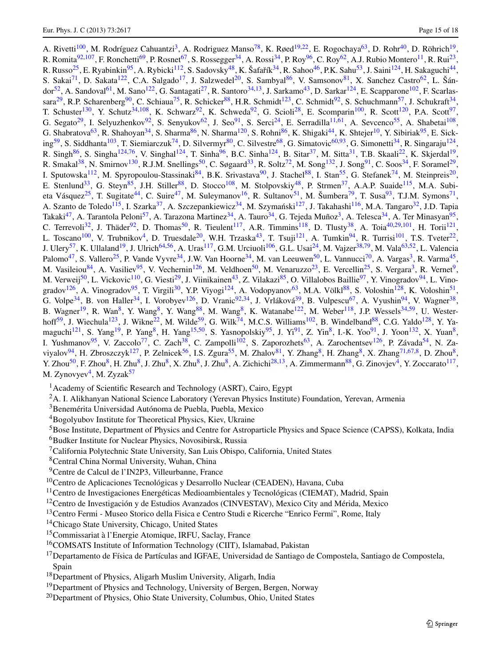A. Rivetti<sup>[100](#page-16-5)</sup>, M. Rodríguez Cahuantzi<sup>3</sup>, A. Rodriguez Manso<sup>[78](#page-16-25)</sup>, K. Røed<sup>[19,](#page-14-5)[22](#page-15-22)</sup>, E. Rogochaya<sup>[63](#page-15-21)</sup>, D. Rohr<sup>[40](#page-15-10)</sup>, D. Röhrich<sup>19</sup>, R. Romita<sup>[92,](#page-16-11)[107](#page-16-47)</sup>, F. Ronchetti<sup>69</sup>, P. Rosnet<sup>[67](#page-15-16)</sup>, S. Rossegger<sup>[34](#page-15-3)</sup>, A. Rossi<sup>34</sup>, P. Roy<sup>96</sup>, C. Roy<sup>[62](#page-15-24)</sup>, A.J. Rubio Montero<sup>11</sup>, R. Rui<sup>23</sup>, R. Russo<sup>[25](#page-15-6)</sup>, E. Ryabinkin<sup>[95](#page-16-7)</sup>, A. Rybicki<sup>112</sup>, S. Sadovsky<sup>[48](#page-15-28)</sup>, K. Šafařík<sup>[34](#page-15-3)</sup>, R. Sahoo<sup>[46](#page-15-45)</sup>, P.K. Sahu<sup>[53](#page-15-19)</sup>, J. Saini<sup>124</sup>, H. Sakaguchi<sup>44</sup>, S. Sakai<sup>[71](#page-16-26)</sup>, D. Sakata<sup>[122](#page-17-4)</sup>, C.A. Salgado<sup>[17](#page-14-7)</sup>, J. Salzwedel<sup>20</sup>, S. Sambyal<sup>[86](#page-16-19)</sup>, V. Samsonov<sup>[81](#page-16-23)</sup>, X. Sanchez Castro<sup>[62](#page-15-24)</sup>, L. Šán-dor<sup>52</sup>, A. Sandoval<sup>[61](#page-15-8)</sup>, M. Sano<sup>122</sup>, G. Santagati<sup>27</sup>, R. Santoro<sup>[34](#page-15-3)[,13](#page-14-3)</sup>, J. Sarkamo<sup>43</sup>, D. Sarkar<sup>124</sup>, E. Scapparone<sup>[102](#page-16-9)</sup>, F. Scarlas-sara<sup>[29](#page-15-31)</sup>, R.P. Scharenberg<sup>[90](#page-16-27)</sup>, C. Schiaua<sup>[75](#page-16-10)</sup>, R. Schicker<sup>[88](#page-16-12)</sup>, H.R. Schmidt<sup>123</sup>, C. Schmidt<sup>92</sup>, S. Schuchmann<sup>57</sup>, J. Schukraft<sup>34</sup>, T. Schuster<sup>130</sup>, Y. Schutz<sup>[34,](#page-15-3)[108](#page-16-15)</sup>, K. Schwarz<sup>92</sup>, K. Schweda<sup>92</sup>, G. Scioli<sup>[28](#page-15-4)</sup>, E. Scomparin<sup>[100](#page-16-5)</sup>, R. Scott<sup>120</sup>, P.A. Scott<sup>97</sup>, G. Segato<sup>[29](#page-15-31)</sup>, I. Selyuzhenkov<sup>92</sup>, S. Senyukov<sup>62</sup>, J. Seo<sup>91</sup>, S. Serci<sup>24</sup>, E. Serradilla<sup>11,[61](#page-15-8)</sup>, A. Sevcenco<sup>55</sup>, A. Shabetai<sup>[108](#page-16-15)</sup>, G. Shabratova<sup>[63](#page-15-21)</sup>, R. Shahoyan<sup>[34](#page-15-3)</sup>, S. Sharma<sup>[86](#page-16-19)</sup>, N. Sharma<sup>[120](#page-16-48)</sup>, S. Rohni<sup>86</sup>, K. Shigaki<sup>44</sup>, K. Shtejer<sup>[10](#page-14-12)</sup>, Y. Sibiriak<sup>[95](#page-16-7)</sup>, E. Sick-ing<sup>[59](#page-15-12)</sup>, S. Siddhanta<sup>[103](#page-16-35)</sup>, T. Siemiarczuk<sup>[74](#page-16-38)</sup>, D. Silvermyr<sup>[80](#page-16-16)</sup>, C. Silvestre<sup>68</sup>, G. Simatovic<sup>[60](#page-15-37),[93](#page-16-13)</sup>, G. Simonetti<sup>[34](#page-15-3)</sup>, R. Singaraju<sup>[124](#page-17-2)</sup>, R. Singh<sup>[86](#page-16-19)</sup>, S. Singha<sup>124,[76](#page-16-49)</sup>, V. Singhal<sup>[124](#page-17-2)</sup>, T. Sinha<sup>96</sup>, B.C. Sinha<sup>124</sup>, B. Sitar<sup>37</sup>, M. Sitta<sup>31</sup>, T.B. Skaali<sup>22</sup>, K. Skjerdal<sup>19</sup>, R. Smakal<sup>[38](#page-15-2)</sup>, N. Smirnov<sup>130</sup>, R.J.M. Snellings<sup>[50](#page-15-25)</sup>, C. Søgaard<sup>33</sup>, R. Soltz<sup>[72](#page-16-2)</sup>, M. Song<sup>132</sup>, J. Song<sup>[91](#page-16-34)</sup>, C. Soos<sup>34</sup>, F. Soramel<sup>29</sup>, I. Sputowska<sup>[112](#page-16-20)</sup>, M. Spyropoulou-Stassinaki $^{84}$ , B.K. Srivastava<sup>90</sup>, J. Stachel<sup>[88](#page-16-12)</sup>, I. Stan<sup>[55](#page-15-38)</sup>, G. Stefanek<sup>[74](#page-16-38)</sup>, M. Steinpreis<sup>20</sup>, E. Stenlund<sup>[33](#page-15-34)</sup>, G. Steyn<sup>85</sup>, J.H. Stiller<sup>88</sup>, D. Stocco<sup>[108](#page-16-15)</sup>, M. Stolpovskiy<sup>[48](#page-15-28)</sup>, P. Strmen<sup>37</sup>, A.A.P. Suaide<sup>[115](#page-16-30)</sup>, M.A. Subi-eta Vásquez<sup>[25](#page-15-6)</sup>, T. Sugitate<sup>[44](#page-15-47)</sup>, C. Suire<sup>47</sup>, M. Suleymanov<sup>16</sup>, R. Sultanov<sup>51</sup>, M. Šumbera<sup>79</sup>, T. Susa<sup>[93](#page-16-13)</sup>, T.J.M. Symons<sup>71</sup>, A. Szanto de Toledo<sup>[115](#page-16-30)</sup>, I. Szarka<sup>37</sup>, A. Szczepankiewicz<sup>34</sup>, M. Szymański<sup>[127](#page-17-7)</sup>, J. Takahashi<sup>[116](#page-16-36)</sup>, M.A. Tangaro<sup>32</sup>, J.D. Tapia Takaki<sup>[47](#page-15-35)</sup>, A. Tarantola Peloni<sup>[57](#page-15-13)</sup>, A. Tarazona Martinez<sup>[34](#page-15-3)</sup>, A. Tauro<sup>34</sup>, G. Tejeda Muñoz<sup>3</sup>, A. Telesca<sup>34</sup>, A. Ter Minasyan<sup>95</sup>, C. Terrevoli<sup>32</sup>, J. Thäder<sup>92</sup>, D. Thomas<sup>50</sup>, R. Tieulent<sup>[117](#page-16-33)</sup>, A.R. Timmins<sup>118</sup>, D. Tlusty<sup>38</sup>, A. Toia<sup>[40](#page-15-10)[,29,](#page-15-31)[101](#page-16-14)</sup>, H. Torii<sup>[121](#page-17-8)</sup>, L. Toscano<sup>[100](#page-16-5)</sup>, V. Trubnikov<sup>4</sup>, D. Truesdale<sup>[20](#page-14-6)</sup>, W.H. Trzaska<sup>[43](#page-15-15)</sup>, T. Tsuji<sup>[121](#page-17-8)</sup>, A. Tumkin<sup>94</sup>, R. Turrisi<sup>[101](#page-16-14)</sup>, T.S. Tveter<sup>22</sup>, J. Ulery<sup>[57](#page-15-13)</sup>, K. Ullaland<sup>19</sup>, J. Ulrich<sup>[64](#page-15-48)[,56](#page-15-27)</sup>, A. Uras<sup>[117](#page-16-33)</sup>, G.M. Urciuoli<sup>106</sup>, G.L. Usai<sup>[24](#page-15-33)</sup>, M. Vajzer<sup>[38](#page-15-2)[,79](#page-16-3)</sup>, M. Vala<sup>63,[52](#page-15-18)</sup>, L. Valencia Palomo<sup>[47](#page-15-35)</sup>, S. Vallero<sup>[25](#page-15-6)</sup>, P. Vande Vyvre<sup>[34](#page-15-3)</sup>, J.W. Van Hoorne<sup>34</sup>, M. van Leeuwen<sup>[50](#page-15-25)</sup>, L. Vannucci<sup>70</sup>, A. Vargas<sup>3</sup>, R. Varma<sup>45</sup>, M. Vasileiou<sup>[84](#page-16-40)</sup>, A. Vasiliev<sup>95</sup>, V. Vechernin<sup>126</sup>, M. Veldhoen<sup>[50](#page-15-25)</sup>, M. Venaruzzo<sup>[23](#page-15-32)</sup>, E. Vercellin<sup>[25](#page-15-6)</sup>, S. Vergara<sup>3</sup>, R. Vernet<sup>9</sup>, M. Verweij<sup>[50](#page-15-25)</sup>, L. Vickovic<sup>110</sup>, G. Viesti<sup>29</sup>, J. Viinikainen<sup>43</sup>, Z. Vilakazi<sup>85</sup>, O. Villalobos Baillie<sup>[97](#page-16-8)</sup>, Y. Vinogradov<sup>[94](#page-16-28)</sup>, L. Vino-gradov<sup>126</sup>, A. Vinogradov<sup>[95](#page-16-7)</sup>, T. Virgili<sup>30</sup>, Y.P. Viyogi<sup>[124](#page-17-2)</sup>, A. Vodopyanov<sup>63</sup>, M.A. Völkl<sup>88</sup>, S. Voloshin<sup>[128](#page-17-5)</sup>, K. Voloshin<sup>51</sup>, G. Volpe<sup>[34](#page-15-3)</sup>, B. von Haller<sup>34</sup>, I. Vorobyev<sup>[126](#page-17-3)</sup>, D. Vranic<sup>92,34</sup>, J. Vrláková<sup>39</sup>, B. Vulpescu<sup>67</sup>, A. Vyushin<sup>94</sup>, V. Wagner<sup>38</sup>, B. Wagner<sup>[19](#page-14-5)</sup>, R. Wan<sup>8</sup>, Y. Wang<sup>8</sup>, Y. Wang<sup>[88](#page-16-12)</sup>, M. Wang<sup>8</sup>, K. Watanabe<sup>[122](#page-17-4)</sup>, M. Weber<sup>118</sup>, J.P. Wessels<sup>[34](#page-15-3)[,59](#page-15-12)</sup>, U. Wester-hoff<sup>59</sup>, J. Wiechula<sup>[123](#page-17-9)</sup>, J. Wikne<sup>22</sup>, M. Wilde<sup>[59](#page-15-12)</sup>, G. Wilk<sup>[74](#page-16-38)</sup>, M.C.S. Williams<sup>[102](#page-16-9)</sup>, B. Windelband<sup>88</sup>, C.G. Yaldo<sup>[128](#page-17-5)</sup>, Y. Ya-maguchi<sup>121</sup>, S. Yang<sup>[19](#page-14-5)</sup>, P. Yang<sup>8</sup>, H. Yang<sup>[15,](#page-14-8)[50](#page-15-25)</sup>, S. Yasnopolskiy<sup>95</sup>, J. Yi<sup>[91](#page-16-34)</sup>, Z. Yin<sup>8</sup>, I.-K. Yoo<sup>91</sup>, J. Yoon<sup>132</sup>, X. Yuan<sup>8</sup>, I. Yushmanov<sup>[95](#page-16-7)</sup>, V. Zaccolo<sup>77</sup>, C. Zach<sup>38</sup>, C. Zampolli<sup>102</sup>, S. Zaporozhets<sup>63</sup>, A. Zarochentsev<sup>[126](#page-17-3)</sup>, P. Závada<sup>54</sup>, N. Za-viyalov<sup>[94](#page-16-28)</sup>, H. Zbroszczyk<sup>[127](#page-17-7)</sup>, P. Zelnicek<sup>56</sup>, I.S. Zgura<sup>[55](#page-15-38)</sup>, M. Zhalov<sup>[8](#page-14-10)1</sup>, Y. Zhang<sup>8</sup>, H. Zhang<sup>8</sup>, X. Zhang<sup>71,[67](#page-15-16)[,8](#page-14-10)</sup>, D. Zhou<sup>8</sup>, Y. Zhou<sup>[50](#page-15-25)</sup>, F. Zhou<sup>[8](#page-14-10)</sup>, H. Zhu<sup>8</sup>, J. Zhu<sup>8</sup>, X. Zhu<sup>8</sup>, J. Zhu<sup>8</sup>, A. Zichichi<sup>28,[13](#page-14-3)</sup>, A. Zimmermann<sup>[88](#page-16-12)</sup>, G. Zinovjev<sup>4</sup>, Y. Zoccarato<sup>[117](#page-16-33)</sup>, M. Zynovyev<sup>[4](#page-14-4)</sup>, M. Zyzak<sup>[57](#page-15-13)</sup>

- <span id="page-14-18"></span><span id="page-14-17"></span><span id="page-14-16"></span><span id="page-14-14"></span><span id="page-14-13"></span><span id="page-14-10"></span><span id="page-14-4"></span><span id="page-14-0"></span><sup>1</sup> Academy of Scientific Research and Technology (ASRT), Cairo, Egypt
- <span id="page-14-19"></span><sup>2</sup>A. I. Alikhanyan National Science Laboratory (Yerevan Physics Institute) Foundation, Yerevan, Armenia
- <span id="page-14-12"></span>3Benemérita Universidad Autónoma de Puebla, Puebla, Mexico
- <span id="page-14-9"></span>4Bogolyubov Institute for Theoretical Physics, Kiev, Ukraine
- <span id="page-14-11"></span>5Bose Institute, Department of Physics and Centre for Astroparticle Physics and Space Science (CAPSS), Kolkata, India
- <span id="page-14-3"></span><sup>6</sup>Budker Institute for Nuclear Physics, Novosibirsk, Russia
- <span id="page-14-15"></span>7California Polytechnic State University, San Luis Obispo, California, United States
- <span id="page-14-8"></span>8Central China Normal University, Wuhan, China
- <span id="page-14-2"></span>9Centre de Calcul de l'IN2P3, Villeurbanne, France
- <span id="page-14-7"></span> $10$ Centro de Aplicaciones Tecnológicas y Desarrollo Nuclear (CEADEN), Havana, Cuba
- $11$ Centro de Investigaciones Energéticas Medioambientales y Tecnológicas (CIEMAT), Madrid, Spain
- <span id="page-14-1"></span> $12$ Centro de Investigación y de Estudios Avanzados (CINVESTAV), Mexico City and Mérida, Mexico
- <span id="page-14-5"></span><sup>13</sup>Centro Fermi - Museo Storico della Fisica e Centro Studi e Ricerche "Enrico Fermi", Rome, Italy
- <span id="page-14-6"></span>14Chicago State University, Chicago, United States
- 15Commissariat à l'Energie Atomique, IRFU, Saclay, France
- <sup>16</sup>COMSATS Institute of Information Technology (CIIT), Islamabad, Pakistan
- <sup>17</sup>Departamento de Física de Partículas and IGFAE, Universidad de Santiago de Compostela, Santiago de Compostela, Spain
- 18Department of Physics, Aligarh Muslim University, Aligarh, India
- <sup>19</sup>Department of Physics and Technology, University of Bergen, Bergen, Norway
- $20$ Department of Physics, Ohio State University, Columbus, Ohio, United States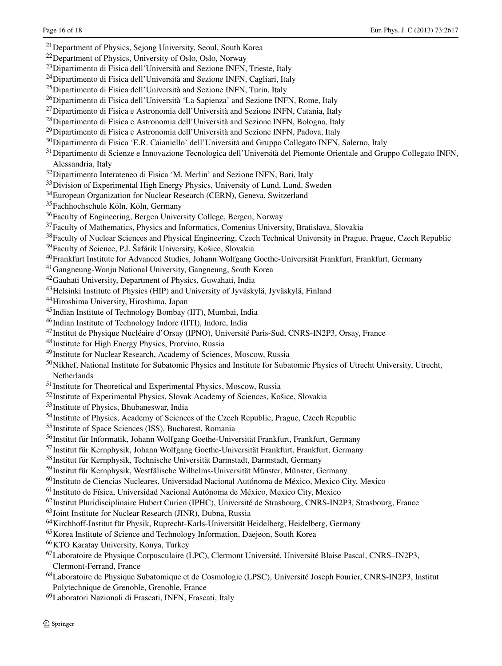- <span id="page-15-46"></span><span id="page-15-41"></span><span id="page-15-33"></span><span id="page-15-32"></span><span id="page-15-31"></span><span id="page-15-22"></span><span id="page-15-20"></span><span id="page-15-6"></span><span id="page-15-4"></span>21Department of Physics, Sejong University, Seoul, South Korea
- 22Department of Physics, University of Oslo, Oslo, Norway
- <span id="page-15-39"></span>23Dipartimento di Fisica dell'Università and Sezione INFN, Trieste, Italy
- <span id="page-15-36"></span>24Dipartimento di Fisica dell'Università and Sezione INFN, Cagliari, Italy
- 25Dipartimento di Fisica dell'Università and Sezione INFN, Turin, Italy
- <span id="page-15-34"></span><span id="page-15-11"></span>26Dipartimento di Fisica dell'Università 'La Sapienza' and Sezione INFN, Rome, Italy
- $^{27}$ Dipartimento di Fisica e Astronomia dell'Università and Sezione INFN, Catania, Italy
- <span id="page-15-3"></span>28Dipartimento di Fisica e Astronomia dell'Università and Sezione INFN, Bologna, Italy
- <span id="page-15-0"></span>29Dipartimento di Fisica e Astronomia dell'Università and Sezione INFN, Padova, Italy
- <span id="page-15-9"></span><sup>30</sup>Dipartimento di Fisica 'E.R. Caianiello' dell'Università and Gruppo Collegato INFN, Salerno, Italy
- <span id="page-15-30"></span><span id="page-15-2"></span>31Dipartimento di Scienze e Innovazione Tecnologica dell'Università del Piemonte Orientale and Gruppo Collegato INFN, Alessandria, Italy
- <span id="page-15-29"></span>32Dipartimento Interateneo di Fisica 'M. Merlin' and Sezione INFN, Bari, Italy
- <span id="page-15-10"></span><sup>33</sup>Division of Experimental High Energy Physics, University of Lund, Lund, Sweden
- <span id="page-15-17"></span>34European Organization for Nuclear Research (CERN), Geneva, Switzerland
- <span id="page-15-1"></span>35Fachhochschule Köln, Köln, Germany
- <span id="page-15-47"></span><span id="page-15-15"></span>36Faculty of Engineering, Bergen University College, Bergen, Norway
- <sup>37</sup>Faculty of Mathematics, Physics and Informatics, Comenius University, Bratislava, Slovakia
- <span id="page-15-45"></span><span id="page-15-23"></span><sup>38</sup>Faculty of Nuclear Sciences and Physical Engineering, Czech Technical University in Prague, Prague, Czech Republic
- 39Faculty of Science, P.J. Šafárik University, Košice, Slovakia
- <span id="page-15-35"></span><span id="page-15-28"></span>40Frankfurt Institute for Advanced Studies, Johann Wolfgang Goethe-Universität Frankfurt, Frankfurt, Germany
- 41Gangneung-Wonju National University, Gangneung, South Korea
- <span id="page-15-40"></span>42Gauhati University, Department of Physics, Guwahati, India
- <span id="page-15-25"></span>43Helsinki Institute of Physics (HIP) and University of Jyväskylä, Jyväskylä, Finland
- 44Hiroshima University, Hiroshima, Japan
- <span id="page-15-18"></span><span id="page-15-7"></span>45Indian Institute of Technology Bombay (IIT), Mumbai, India
- 46Indian Institute of Technology Indore (IITI), Indore, India
- <span id="page-15-19"></span>47Institut de Physique Nucléaire d'Orsay (IPNO), Université Paris-Sud, CNRS-IN2P3, Orsay, France
- <span id="page-15-44"></span>48Institute for High Energy Physics, Protvino, Russia
- <span id="page-15-38"></span><span id="page-15-27"></span>49Institute for Nuclear Research, Academy of Sciences, Moscow, Russia
- <span id="page-15-13"></span><sup>50</sup>Nikhef, National Institute for Subatomic Physics and Institute for Subatomic Physics of Utrecht University, Utrecht, **Netherlands**
- <span id="page-15-43"></span><sup>51</sup>Institute for Theoretical and Experimental Physics, Moscow, Russia
- <span id="page-15-37"></span><span id="page-15-12"></span>52Institute of Experimental Physics, Slovak Academy of Sciences, Košice, Slovakia
- 53Institute of Physics, Bhubaneswar, India
- <span id="page-15-8"></span><sup>54</sup>Institute of Physics, Academy of Sciences of the Czech Republic, Prague, Czech Republic
- <span id="page-15-24"></span><span id="page-15-21"></span>55Institute of Space Sciences (ISS), Bucharest, Romania
- 56Institut für Informatik, Johann Wolfgang Goethe-Universität Frankfurt, Frankfurt, Germany
- <span id="page-15-48"></span><span id="page-15-5"></span>57Institut für Kernphysik, Johann Wolfgang Goethe-Universität Frankfurt, Frankfurt, Germany
- 58Institut für Kernphysik, Technische Universität Darmstadt, Darmstadt, Germany
- <span id="page-15-42"></span>59Institut für Kernphysik, Westfälische Wilhelms-Universität Münster, Münster, Germany
- <span id="page-15-16"></span>60Instituto de Ciencias Nucleares, Universidad Nacional Autónoma de México, Mexico City, Mexico
- <span id="page-15-14"></span>61Instituto de Física, Universidad Nacional Autónoma de México, Mexico City, Mexico
- 62Institut Pluridisciplinaire Hubert Curien (IPHC), Université de Strasbourg, CNRS-IN2P3, Strasbourg, France
- 63Joint Institute for Nuclear Research (JINR), Dubna, Russia
- <span id="page-15-26"></span>64Kirchhoff-Institut für Physik, Ruprecht-Karls-Universität Heidelberg, Heidelberg, Germany
- 65Korea Institute of Science and Technology Information, Daejeon, South Korea
- 66KTO Karatay University, Konya, Turkey
- 67Laboratoire de Physique Corpusculaire (LPC), Clermont Université, Université Blaise Pascal, CNRS–IN2P3, Clermont-Ferrand, France
- 68Laboratoire de Physique Subatomique et de Cosmologie (LPSC), Université Joseph Fourier, CNRS-IN2P3, Institut Polytechnique de Grenoble, Grenoble, France
- 69Laboratori Nazionali di Frascati, INFN, Frascati, Italy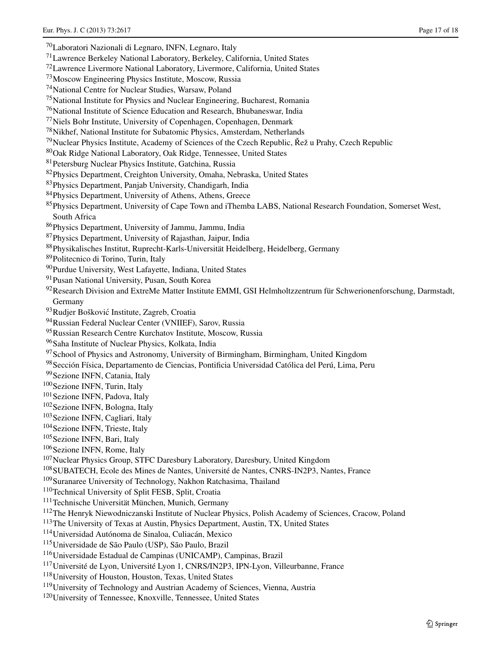<span id="page-16-50"></span><span id="page-16-49"></span><span id="page-16-43"></span><span id="page-16-40"></span><span id="page-16-38"></span><span id="page-16-34"></span><span id="page-16-32"></span><span id="page-16-31"></span><span id="page-16-29"></span><span id="page-16-28"></span><span id="page-16-27"></span><span id="page-16-26"></span><span id="page-16-25"></span><span id="page-16-24"></span><span id="page-16-23"></span><span id="page-16-21"></span><span id="page-16-19"></span><span id="page-16-18"></span><span id="page-16-17"></span><span id="page-16-16"></span><span id="page-16-13"></span><span id="page-16-12"></span><span id="page-16-11"></span><span id="page-16-10"></span><span id="page-16-8"></span><span id="page-16-7"></span><span id="page-16-6"></span><span id="page-16-5"></span><span id="page-16-4"></span><span id="page-16-3"></span><span id="page-16-2"></span>70Laboratori Nazionali di Legnaro, INFN, Legnaro, Italy 71Lawrence Berkeley National Laboratory, Berkeley, California, United States 72Lawrence Livermore National Laboratory, Livermore, California, United States 73Moscow Engineering Physics Institute, Moscow, Russia 74National Centre for Nuclear Studies, Warsaw, Poland  $75$ National Institute for Physics and Nuclear Engineering, Bucharest, Romania 76National Institute of Science Education and Research, Bhubaneswar, India  $77$ Niels Bohr Institute, University of Copenhagen, Copenhagen, Denmark 78Nikhef, National Institute for Subatomic Physics, Amsterdam, Netherlands  $^{79}$ Nuclear Physics Institute, Academy of Sciences of the Czech Republic, Řež u Prahy, Czech Republic 80Oak Ridge National Laboratory, Oak Ridge, Tennessee, United States 81Petersburg Nuclear Physics Institute, Gatchina, Russia 82Physics Department, Creighton University, Omaha, Nebraska, United States 83Physics Department, Panjab University, Chandigarh, India 84Physics Department, University of Athens, Athens, Greece <sup>85</sup>Physics Department, University of Cape Town and iThemba LABS, National Research Foundation, Somerset West, South Africa 86Physics Department, University of Jammu, Jammu, India 87Physics Department, University of Rajasthan, Jaipur, India 88Physikalisches Institut, Ruprecht-Karls-Universität Heidelberg, Heidelberg, Germany 89Politecnico di Torino, Turin, Italy 90Purdue University, West Lafayette, Indiana, United States 91Pusan National University, Pusan, South Korea <sup>92</sup>Research Division and ExtreMe Matter Institute EMMI, GSI Helmholtzzentrum für Schwerionenforschung, Darmstadt, Germany 93 Rudjer Bošković Institute, Zagreb, Croatia 94Russian Federal Nuclear Center (VNIIEF), Sarov, Russia 95Russian Research Centre Kurchatov Institute, Moscow, Russia 96Saha Institute of Nuclear Physics, Kolkata, India <sup>97</sup>School of Physics and Astronomy, University of Birmingham, Birmingham, United Kingdom 98Sección Física, Departamento de Ciencias, Pontificia Universidad Católica del Perú, Lima, Peru 99Sezione INFN, Catania, Italy 100Sezione INFN, Turin, Italy 101Sezione INFN, Padova, Italy 102Sezione INFN, Bologna, Italy 103Sezione INFN, Cagliari, Italy 104Sezione INFN, Trieste, Italy 105Sezione INFN, Bari, Italy <sup>106</sup>Sezione INFN, Rome, Italy 107Nuclear Physics Group, STFC Daresbury Laboratory, Daresbury, United Kingdom 108SUBATECH, Ecole des Mines de Nantes, Université de Nantes, CNRS-IN2P3, Nantes, France 109Suranaree University of Technology, Nakhon Ratchasima, Thailand 110Technical University of Split FESB, Split, Croatia 111Technische Universität München, Munich, Germany 112The Henryk Niewodniczanski Institute of Nuclear Physics, Polish Academy of Sciences, Cracow, Poland 113The University of Texas at Austin, Physics Department, Austin, TX, United States 114Universidad Autónoma de Sinaloa, Culiacán, Mexico 115Universidade de São Paulo (USP), São Paulo, Brazil 116Universidade Estadual de Campinas (UNICAMP), Campinas, Brazil 117Université de Lyon, Université Lyon 1, CNRS/IN2P3, IPN-Lyon, Villeurbanne, France 118University of Houston, Houston, Texas, United States 119University of Technology and Austrian Academy of Sciences, Vienna, Austria

<span id="page-16-48"></span><span id="page-16-47"></span><span id="page-16-46"></span><span id="page-16-45"></span><span id="page-16-44"></span><span id="page-16-42"></span><span id="page-16-41"></span><span id="page-16-39"></span><span id="page-16-37"></span><span id="page-16-36"></span><span id="page-16-35"></span><span id="page-16-33"></span><span id="page-16-30"></span><span id="page-16-22"></span><span id="page-16-20"></span><span id="page-16-15"></span><span id="page-16-14"></span><span id="page-16-9"></span><span id="page-16-1"></span><span id="page-16-0"></span>120University of Tennessee, Knoxville, Tennessee, United States